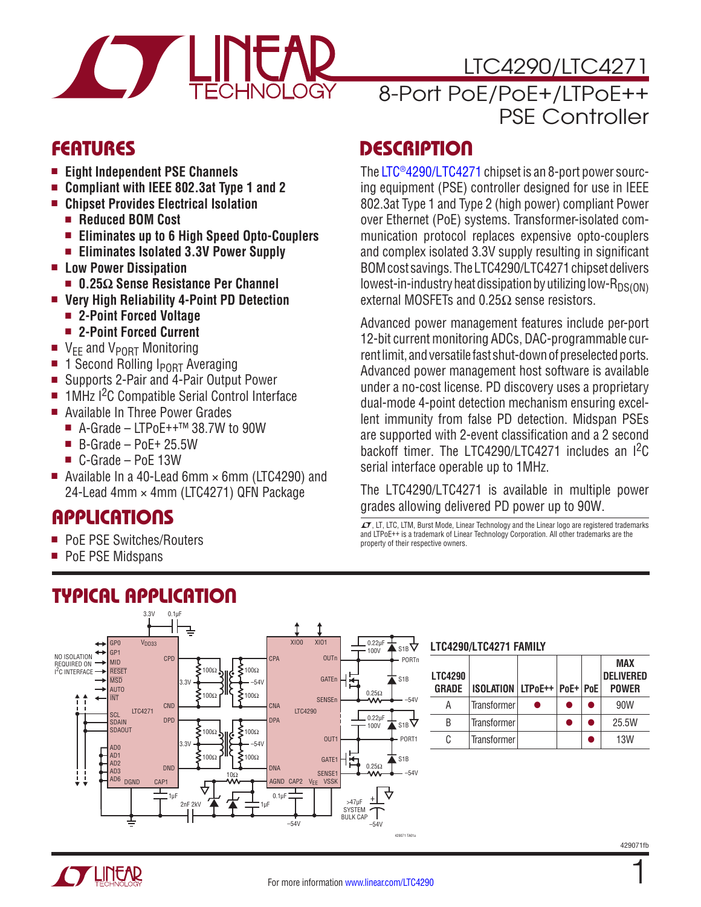

### LTC4290/LTC4271 8-Port PoE/PoE+/LTPoE++ PSE Controller

- Eight Independent PSE Channels
- <sup>n</sup> **Compliant with IEEE 802.3at Type 1 and 2**
- <sup>n</sup> **Chipset Provides Electrical Isolation**
	- Reduced BOM Cost
	- <sup>n</sup> **Eliminates up to 6 High Speed Opto-Couplers**
	- <sup>n</sup> **Eliminates Isolated 3.3V Power Supply**
- **E** Low Power Dissipation
	- **0.25Ω Sense Resistance Per Channel**
- <sup>n</sup> **Very High Reliability 4-Point PD Detection**
	- <sup>n</sup> **2-Point Forced Voltage**
	- <sup>n</sup> **2-Point Forced Current**
- $\blacksquare$  V<sub>FF</sub> and V<sub>PORT</sub> Monitoring
- $\blacksquare$  1 Second Rolling I<sub>PORT</sub> Averaging
- Supports 2-Pair and 4-Pair Output Power
- 1MHz I<sup>2</sup>C Compatible Serial Control Interface
- Available In Three Power Grades
	- $\blacksquare$  A-Grade LTPoE++<sup>™</sup> 38.7W to 90W
	- $\blacksquare$  B-Grade PoE+ 25.5W
	- $C$ -Grade PoE 13W
- Available In a 40-Lead 6mm  $\times$  6mm (LTC4290) and 24-Lead 4mm  $\times$  4mm (LTC4271) QFN Package

### **APPLICATIONS**

- PoE PSE Switches/Routers
- PoE PSE Midspans

### FEATURES DESCRIPTION

The [LTC®4290/LTC4271](http://www.linear.com/LTC4290) chipset is an 8-port power sourcing equipment (PSE) controller designed for use in IEEE 802.3at Type 1 and Type 2 (high power) compliant Power over Ethernet (PoE) systems. Transformer-isolated communication protocol replaces expensive opto-couplers and complex isolated 3.3V supply resulting in significant BOM cost savings. The LTC4290/LTC4271 chipset delivers lowest-in-industry heat dissipation by utilizing low- $R_{DS(ON)}$ external MOSFETs and 0.25Ω sense resistors.

Advanced power management features include per-port 12-bit current monitoring ADCs, DAC-programmable current limit, and versatile fast shut-down of preselected ports. Advanced power management host software is available under a no-cost license. PD discovery uses a proprietary dual-mode 4-point detection mechanism ensuring excellent immunity from false PD detection. Midspan PSEs are supported with 2-event classification and a 2 second backoff timer. The LTC4290/LTC4271 includes an I<sup>2</sup>C serial interface operable up to 1MHz.

The LTC4290/LTC4271 is available in multiple power grades allowing delivered PD power up to 90W.

 $LT$ , LT, LTC, LTM, Burst Mode, Linear Technology and the Linear logo are registered trademarks and LTPoE++ is a trademark of Linear Technology Corporation. All other trademarks are the property of their respective owners.



#### **LTC4290/LTC4271 FAMILY**

| <b>LTC4290</b><br><b>GRADE</b> | ISOLATION   LTPoE++   PoE+   PoE |  | MAX<br><b>DEI IVERED</b><br><b>POWER</b> |
|--------------------------------|----------------------------------|--|------------------------------------------|
| А                              | Transformer                      |  | 90W                                      |
| B                              | Transformer                      |  | 25.5W                                    |
| C                              | Transformer                      |  | 13W                                      |

429071fb

1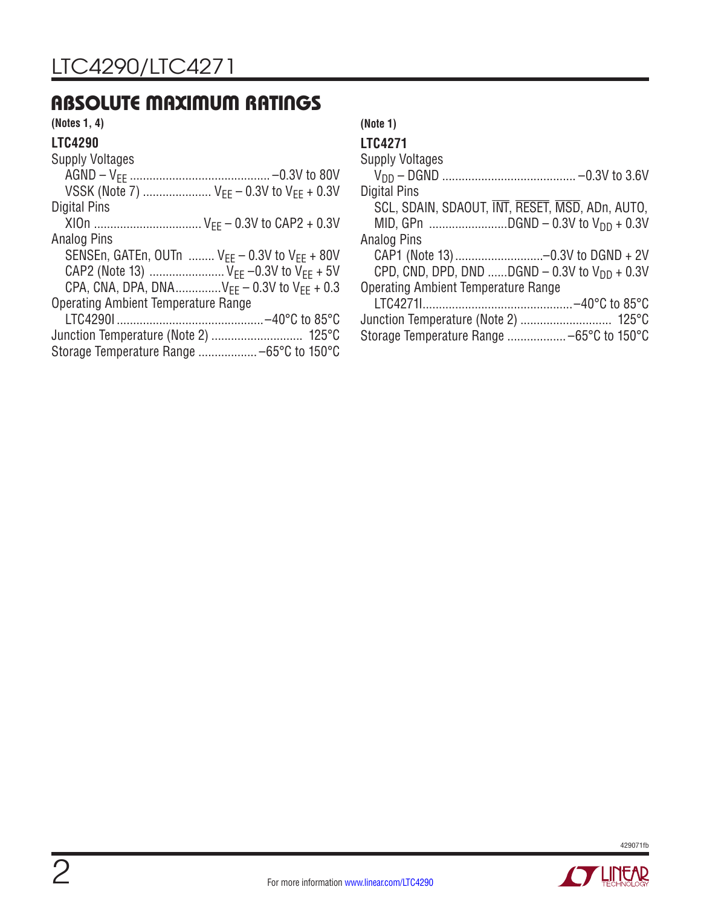### ABSOLUTE MAXIMUM RATINGS

### **(Notes 1, 4)**

| <b>LTC4290</b>                                        |  |
|-------------------------------------------------------|--|
| <b>Supply Voltages</b>                                |  |
|                                                       |  |
| VSSK (Note 7) $V_{FF}$ – 0.3V to $V_{FF}$ + 0.3V      |  |
| Digital Pins                                          |  |
| XIOn $V_{FF}$ – 0.3V to CAP2 + 0.3V                   |  |
| <b>Analog Pins</b>                                    |  |
| SENSEn, GATEn, OUTn $V_{EE}$ – 0.3V to $V_{EE}$ + 80V |  |
| CAP2 (Note 13) $V_{FF}$ -0.3V to $V_{FF}$ + 5V        |  |
| CPA, CNA, DPA, DNA $V_{FF}$ – 0.3V to $V_{FF}$ + 0.3  |  |
| <b>Operating Ambient Temperature Range</b>            |  |
|                                                       |  |
| Junction Temperature (Note 2)  125°C                  |  |
|                                                       |  |

| (Note 1)                                          |
|---------------------------------------------------|
| <b>LTC4271</b>                                    |
| <b>Supply Voltages</b>                            |
|                                                   |
| Digital Pins                                      |
| SCL, SDAIN, SDAOUT, INT, RESET, MSD, ADn, AUTO,   |
| MID, GPn DGND – 0.3V to V <sub>DD</sub> + 0.3V    |
| <b>Analog Pins</b>                                |
|                                                   |
| CPD, CND, DPD, DND DGND – 0.3V to $V_{DD}$ + 0.3V |
| Operating Ambient Temperature Range               |
|                                                   |
|                                                   |
|                                                   |

**All TEAR** 

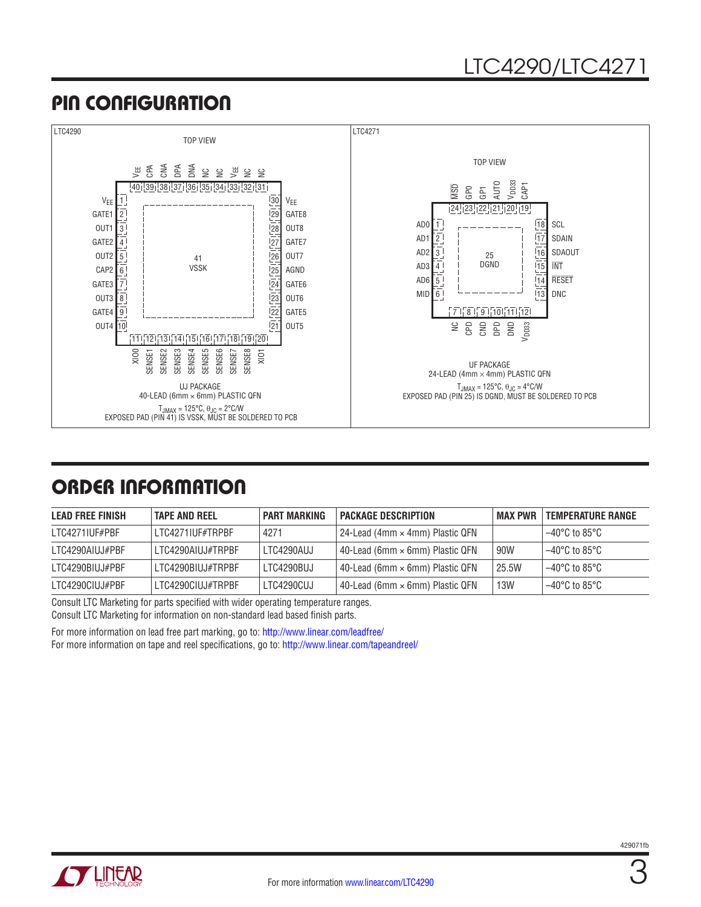### LTC4290/LTC4271

### PIN CONFIGURATION



### ORDER INFORMATION

| <b>LEAD FREE FINISH</b> | <b>TAPE AND REEL</b> | ' PART MARKING | <b>PACKAGE DESCRIPTION</b>      | <b>MAX PWR</b> | <b>TEMPERATURE RANGE</b> |
|-------------------------|----------------------|----------------|---------------------------------|----------------|--------------------------|
| LTC4271IUF#PBF          | LTC4271IUF#TRPBF     | 4271           | 24-Lead (4mm × 4mm) Plastic QFN |                | $-40^{\circ}$ C to 85°C  |
| LTC4290AIUJ#PBF         | LTC4290AIUJ#TRPBF    | LTC4290AUJ     | 40-Lead (6mm × 6mm) Plastic QFN | 90W            | $-40^{\circ}$ C to 85°C  |
| LTC4290BIUJ#PBF         | LTC4290BIUJ#TRPBF    | LTC4290BUJ     | 40-Lead (6mm × 6mm) Plastic QFN | 25.5W          | $-40^{\circ}$ C to 85°C  |
| LTC4290CIUJ#PBF         | LTC4290CIUJ#TRPBF    | LTC4290CUJ     | 40-Lead (6mm × 6mm) Plastic QFN | 13W            | $-40^{\circ}$ C to 85°C  |

Consult LTC Marketing for parts specified with wider operating temperature ranges.

Consult LTC Marketing for information on non-standard lead based finish parts.

For more information on lead free part marking, go to: <http://www.linear.com/leadfree/> For more information on tape and reel specifications, go to: <http://www.linear.com/tapeandreel/>

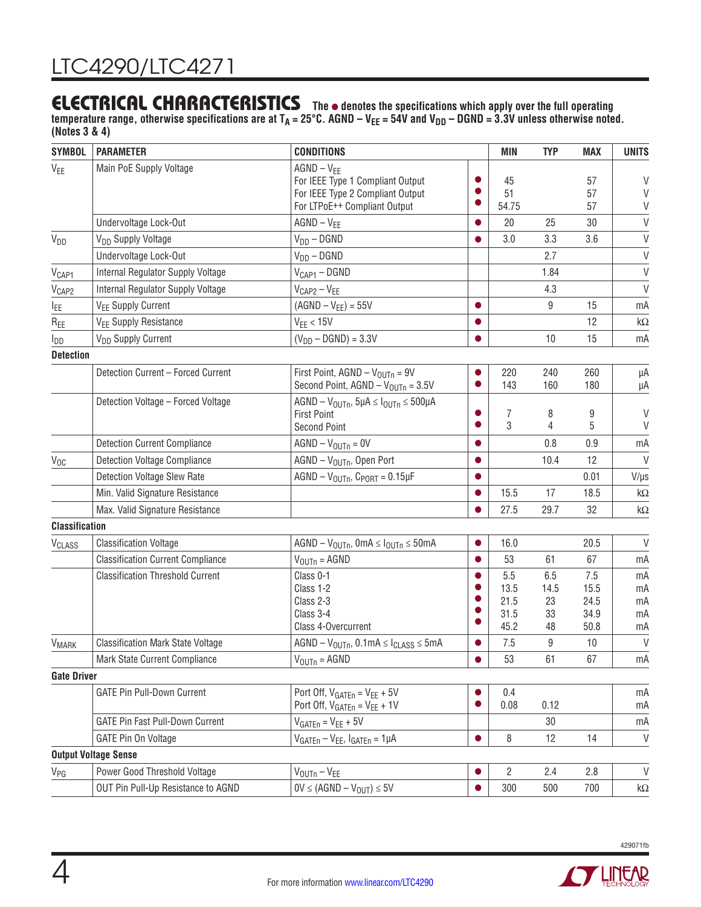temperature range, otherwise specifications are at T<sub>A</sub> = 25°C. AGND – V<sub>EE</sub> = 54V and V<sub>DD</sub> – DGND = 3.3V unless otherwise noted. **(Notes 3 & 4)**

| <b>SYMBOL</b>         | <b>PARAMETER</b>                         | <b>CONDITIONS</b>                                                                                                       |           | <b>MIN</b>                          | <b>TYP</b>                    | <b>MAX</b>                          | <b>UNITS</b>               |
|-----------------------|------------------------------------------|-------------------------------------------------------------------------------------------------------------------------|-----------|-------------------------------------|-------------------------------|-------------------------------------|----------------------------|
| V <sub>EE</sub>       | Main PoE Supply Voltage                  | $AGND - V_{FF}$<br>For IEEE Type 1 Compliant Output<br>For IEEE Type 2 Compliant Output<br>For LTPoE++ Compliant Output |           | 45<br>51<br>54.75                   |                               | 57<br>57<br>57                      | V<br>V<br>V                |
|                       | Undervoltage Lock-Out                    | $AGND - V_{EE}$                                                                                                         |           | 20                                  | 25                            | 30                                  | $\vee$                     |
| <b>V<sub>DD</sub></b> | V <sub>DD</sub> Supply Voltage           | $V_{DD} - DGND$                                                                                                         |           | 3.0                                 | 3.3                           | 3.6                                 | $\vee$                     |
|                       | Undervoltage Lock-Out                    | $V_{DD} - DGND$                                                                                                         |           |                                     | 2.7                           |                                     | $\vee$                     |
| V <sub>CAP1</sub>     | Internal Regulator Supply Voltage        | $V_{CAP1} - DGND$                                                                                                       |           |                                     | 1.84                          |                                     | $\vee$                     |
| V <sub>CAP2</sub>     | Internal Regulator Supply Voltage        | $V_{CAP2} - V_{EE}$                                                                                                     |           |                                     | 4.3                           |                                     | $\vee$                     |
| <b>I</b> EE           | V <sub>EE</sub> Supply Current           | $(AGND - V_{EE}) = 55V$                                                                                                 |           |                                     | 9                             | 15                                  | mA                         |
| R <sub>EE</sub>       | V <sub>EE</sub> Supply Resistance        | $V_{EE}$ < 15V                                                                                                          |           |                                     |                               | 12                                  | k $\Omega$                 |
| I <sub>DD</sub>       | V <sub>DD</sub> Supply Current           | $(V_{DD} - DGND) = 3.3V$                                                                                                |           |                                     | 10                            | 15                                  | mA                         |
| <b>Detection</b>      |                                          |                                                                                                                         |           |                                     |                               |                                     |                            |
|                       | Detection Current - Forced Current       | First Point, $AGND - VOUTD = 9V$<br>Second Point, $AGND - VOUTn = 3.5V$                                                 | $\bullet$ | 220<br>143                          | 240<br>160                    | 260<br>180                          | μA<br>μA                   |
|                       | Detection Voltage - Forced Voltage       | $AGND - VOUTD$ , $5\mu A \leq IOUTD \leq 500\mu A$<br><b>First Point</b><br><b>Second Point</b>                         |           | 7<br>3                              | 8<br>4                        | 9<br>5                              | V<br>V                     |
|                       | <b>Detection Current Compliance</b>      | $AGND - VOUTn = 0V$                                                                                                     |           |                                     | 0.8                           | 0.9                                 | mA                         |
| $V_{OC}$              | <b>Detection Voltage Compliance</b>      | AGND - V <sub>OUTn</sub> , Open Port                                                                                    |           |                                     | 10.4                          | 12                                  | $\vee$                     |
|                       | <b>Detection Voltage Slew Rate</b>       | $AGND - VOUTD$ , $CPORT = 0.15 \mu F$                                                                                   |           |                                     |                               | 0.01                                | $V/\mu s$                  |
|                       | Min. Valid Signature Resistance          |                                                                                                                         |           | 15.5                                | 17                            | 18.5                                | k $\Omega$                 |
|                       | Max. Valid Signature Resistance          |                                                                                                                         |           | 27.5                                | 29.7                          | 32                                  | k $\Omega$                 |
| <b>Classification</b> |                                          |                                                                                                                         |           |                                     |                               |                                     |                            |
| <b>VCLASS</b>         | <b>Classification Voltage</b>            | $AGND - VOUTD$ , 0mA $\leq IOUTD \leq 50$ mA                                                                            |           | 16.0                                |                               | 20.5                                | V                          |
|                       | <b>Classification Current Compliance</b> | $V_{\text{OUTD}} = \text{AGND}$                                                                                         |           | 53                                  | 61                            | 67                                  | mA                         |
|                       | <b>Classification Threshold Current</b>  | Class 0-1<br>Class 1-2<br>Class 2-3<br>Class 3-4<br>Class 4-Overcurrent                                                 |           | 5.5<br>13.5<br>21.5<br>31.5<br>45.2 | 6.5<br>14.5<br>23<br>33<br>48 | 7.5<br>15.5<br>24.5<br>34.9<br>50.8 | mA<br>mA<br>mA<br>mA<br>mA |
| <b>VMARK</b>          | <b>Classification Mark State Voltage</b> | $AGND - VOUTD, 0.1mA \leq ICLASS \leq 5mA$                                                                              |           | 7.5                                 | 9                             | 10                                  | $\vee$                     |
|                       | Mark State Current Compliance            | $V_{\text{OUTn}} = \text{AGND}$                                                                                         | $\bullet$ | 53                                  | 61                            | 67                                  | mA                         |
| <b>Gate Driver</b>    |                                          |                                                                                                                         |           |                                     |                               |                                     |                            |
|                       | <b>GATE Pin Pull-Down Current</b>        | Port Off, $V_{GATEn} = V_{EE} + 5V$<br>Port Off, $V_{GATEn} = V_{EE} + 1V$                                              |           | 0.4<br>0.08                         | 0.12                          |                                     | mA<br>mA                   |
|                       | GATE Pin Fast Pull-Down Current          | $V_{GATEn} = V_{EE} + 5V$                                                                                               |           |                                     | 30                            |                                     | mA                         |
|                       | GATE Pin On Voltage                      | $V_{GATEn} - V_{EE}$ , $I_{GATEn} = 1 \mu A$                                                                            | $\bullet$ | 8                                   | 12                            | 14                                  | $\vee$                     |
|                       | <b>Output Voltage Sense</b>              |                                                                                                                         |           |                                     |                               |                                     |                            |
| V <sub>PG</sub>       | Power Good Threshold Voltage             | $V_{\text{OUTD}} - V_{\text{EE}}$                                                                                       | $\bullet$ | 2                                   | 2.4                           | 2.8                                 | $\mathsf{V}$               |
|                       | OUT Pin Pull-Up Resistance to AGND       | $OV \leq (AGND - VOUT) \leq 5V$                                                                                         |           | 300                                 | 500                           | 700                                 | k $\Omega$                 |



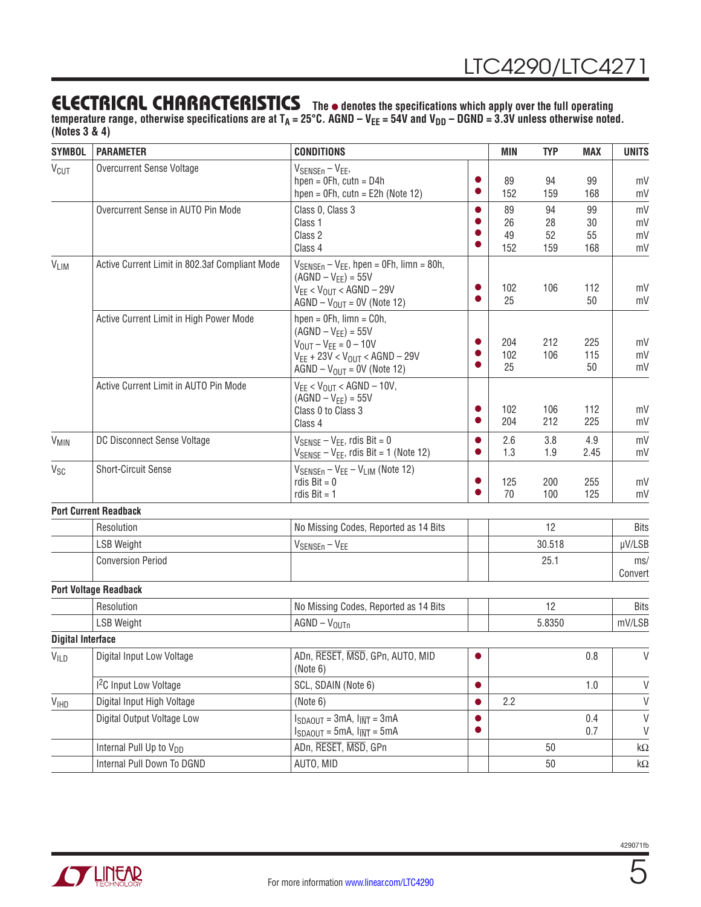temperature range, otherwise specifications are at T<sub>A</sub> = 25°C. AGND – V<sub>EE</sub> = 54V and V<sub>DD</sub> – DGND = 3.3V unless otherwise noted. **(Notes 3 & 4)**

| <b>SYMBOL</b>            | <b>PARAMETER</b>                               | <b>CONDITIONS</b>                                                                                                                                                                 |                | <b>MIN</b>            | <b>TYP</b>            | <b>MAX</b>            | <b>UNITS</b>                 |
|--------------------------|------------------------------------------------|-----------------------------------------------------------------------------------------------------------------------------------------------------------------------------------|----------------|-----------------------|-----------------------|-----------------------|------------------------------|
| <b>V<sub>CUT</sub></b>   | <b>Overcurrent Sense Voltage</b>               | $V_{SENSEn} - V_{EE}$<br>$hpen = 0Fh$ , cutn = D4h<br>hpen = $0Fh$ , cutn = $E2h$ (Note 12)                                                                                       |                | 89<br>152             | 94<br>159             | 99<br>168             | mV<br>mV                     |
|                          | Overcurrent Sense in AUTO Pin Mode             | Class 0, Class 3<br>Class 1<br>Class 2<br>Class 4                                                                                                                                 |                | 89<br>26<br>49<br>152 | 94<br>28<br>52<br>159 | 99<br>30<br>55<br>168 | mV<br>mV<br>mV<br>mV         |
| <b>VLIM</b>              | Active Current Limit in 802.3af Compliant Mode | $V_{SENSEn} - V_{EE}$ , hpen = 0Fh, limn = 80h,<br>$(AGND - V_{EE}) = 55V$<br>$V_{EE}$ < $V_{OUT}$ < AGND - 29V<br>$AGND - VOUT = OV (Note 12)$                                   | $\bullet$<br>O | 102<br>25             | 106                   | 112<br>50             | mV<br>mV                     |
|                          | Active Current Limit in High Power Mode        | $hpen = 0Fh$ , $limn = C0h$ ,<br>$(AGND - V_{EE}) = 55V$<br>$V_{\text{OUT}} - V_{\text{EE}} = 0 - 10V$<br>$V_{EE}$ + 23V < $V_{OUT}$ < AGND - 29V<br>$AGND - VOUT = OV (Note 12)$ |                | 204<br>102<br>25      | 212<br>106            | 225<br>115<br>50      | mV<br>mV<br>mV               |
|                          | Active Current Limit in AUTO Pin Mode          | $V_{EE}$ < $V_{OUT}$ < AGND - 10V,<br>$(AGND - V_{EE}) = 55V$<br>Class 0 to Class 3<br>Class 4                                                                                    |                | 102<br>204            | 106<br>212            | 112<br>225            | mV<br>mV                     |
| <b>V<sub>MIN</sub></b>   | DC Disconnect Sense Voltage                    | $V_{\text{SENSE}} - V_{\text{EE}}$ , rdis Bit = 0<br>$V_{SENSE} - V_{EE}$ , rdis Bit = 1 (Note 12)                                                                                |                | 2.6<br>1.3            | 3.8<br>1.9            | 4.9<br>2.45           | mV<br>mV                     |
| $V_{SC}$                 | <b>Short-Circuit Sense</b>                     | $V_{SENSEn} - V_{EE} - V_{LIM}$ (Note 12)<br>rdis Bit = $0$<br>rdis Bit $= 1$                                                                                                     | O              | 125<br>70             | 200<br>100            | 255<br>125            | mV<br>mV                     |
|                          | <b>Port Current Readback</b>                   |                                                                                                                                                                                   |                |                       |                       |                       |                              |
|                          | Resolution                                     | No Missing Codes, Reported as 14 Bits                                                                                                                                             |                |                       | 12                    |                       | <b>Bits</b>                  |
|                          | <b>LSB Weight</b>                              | $V_{SENSEn} - V_{EE}$                                                                                                                                                             |                |                       | 30.518                |                       | µV/LSB                       |
|                          | <b>Conversion Period</b>                       |                                                                                                                                                                                   |                |                       | 25.1                  |                       | ms/<br>Convert               |
|                          | <b>Port Voltage Readback</b>                   |                                                                                                                                                                                   |                |                       |                       |                       |                              |
|                          | Resolution                                     | No Missing Codes, Reported as 14 Bits                                                                                                                                             |                |                       | 12                    |                       | <b>Bits</b>                  |
|                          | <b>LSB Weight</b>                              | $AGND - VOUTn$                                                                                                                                                                    |                |                       | 5.8350                |                       | mV/LSB                       |
| <b>Digital Interface</b> |                                                |                                                                                                                                                                                   |                |                       |                       |                       |                              |
| V <sub>ILD</sub>         | Digital Input Low Voltage                      | ADn, RESET, MSD, GPn, AUTO, MID<br>(Note 6)                                                                                                                                       |                |                       |                       | $0.8\,$               | V                            |
|                          | <sup>2</sup> C Input Low Voltage               | SCL, SDAIN (Note 6)                                                                                                                                                               | $\bullet$      |                       |                       | $1.0$                 | $\mathsf V$                  |
| V <sub>IHD</sub>         | Digital Input High Voltage                     | (Note 6)                                                                                                                                                                          | $\bullet$      | 2.2                   |                       |                       | $\vee$                       |
|                          | Digital Output Voltage Low                     | $I_{SDAOUT} = 3mA$ , $I_{\overline{INT}} = 3mA$<br>$I_{SDAOUT} = 5mA$ , $I_{\overline{INT}} = 5mA$                                                                                |                |                       |                       | 0.4<br>0.7            | $\mathsf{V}$<br>$\mathsf{V}$ |
|                          | Internal Pull Up to V <sub>DD</sub>            | ADn, RESET, MSD, GPn                                                                                                                                                              |                |                       | 50                    |                       | k $\Omega$                   |
|                          | Internal Pull Down To DGND                     | AUTO, MID                                                                                                                                                                         |                |                       | 50                    |                       | $\mathsf{k}\Omega$           |

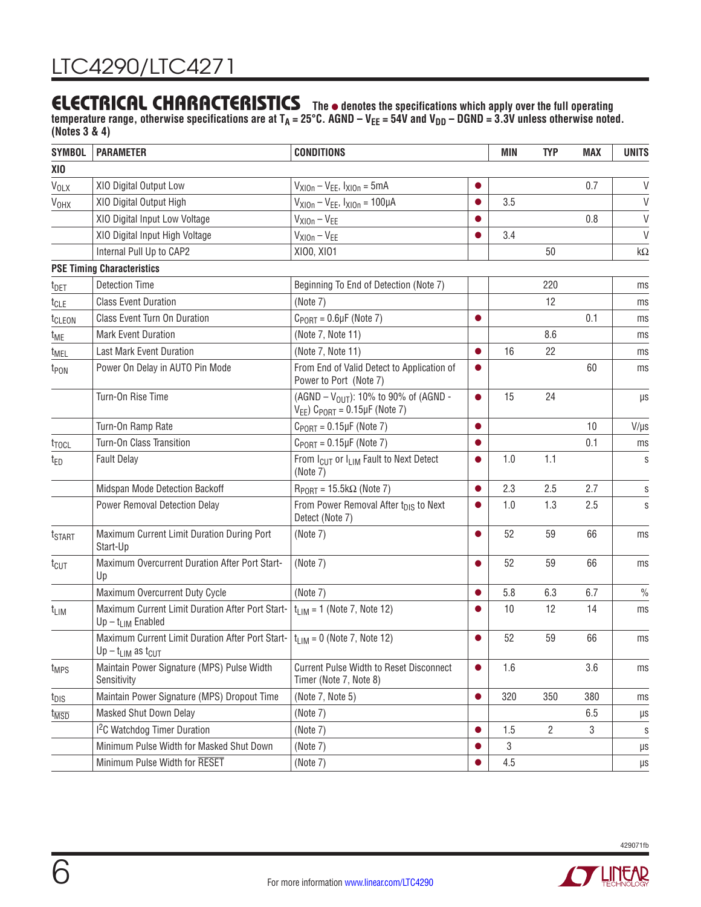temperature range, otherwise specifications are at T<sub>A</sub> = 25°C. AGND – V<sub>EE</sub> = 54V and V<sub>DD</sub> – DGND = 3.3V unless otherwise noted. **(Notes 3 & 4)**

| <b>SYMBOL</b>          | <b>CONDITIONS</b><br><b>PARAMETER</b>                                                                            |                                                                                              | <b>MIN</b> | <b>TYP</b> | <b>MAX</b>     | <b>UNITS</b> |               |
|------------------------|------------------------------------------------------------------------------------------------------------------|----------------------------------------------------------------------------------------------|------------|------------|----------------|--------------|---------------|
| XIO                    |                                                                                                                  |                                                                                              |            |            |                |              |               |
| <b>VOLX</b>            | XIO Digital Output Low                                                                                           | $V_{X10n} - V_{EE}$ , $I_{X10n} = 5mA$                                                       |            |            |                | 0.7          | $\mathsf{V}$  |
| <b>V<sub>OHX</sub></b> | XIO Digital Output High                                                                                          | $V_{X10n} - V_{EE}$ , $I_{X10n} = 100 \mu A$                                                 |            | 3.5        |                |              | $\mathsf{V}$  |
|                        | XIO Digital Input Low Voltage                                                                                    | $V_{X10n} - V_{EE}$                                                                          |            |            |                | 0.8          | $\vee$        |
|                        | XIO Digital Input High Voltage                                                                                   | $V_{X10n} - V_{EE}$                                                                          |            | 3.4        |                |              | $\vee$        |
|                        | Internal Pull Up to CAP2                                                                                         | XI00, XI01                                                                                   |            |            | 50             |              | k $\Omega$    |
|                        | <b>PSE Timing Characteristics</b>                                                                                |                                                                                              |            |            |                |              |               |
| t <sub>DET</sub>       | <b>Detection Time</b>                                                                                            | Beginning To End of Detection (Note 7)                                                       |            |            | 220            |              | ms            |
| t <sub>CLE</sub>       | <b>Class Event Duration</b>                                                                                      | (Note 7)                                                                                     |            |            | 12             |              | ms            |
| t <sub>CLEON</sub>     | <b>Class Event Turn On Duration</b>                                                                              | $C_{PORT} = 0.6 \mu F$ (Note 7)                                                              | $\bullet$  |            |                | 0.1          | ms            |
| t <sub>ME</sub>        | <b>Mark Event Duration</b>                                                                                       | (Note 7, Note 11)                                                                            |            |            | 8.6            |              | ms            |
| t <sub>MEL</sub>       | Last Mark Event Duration                                                                                         | (Note 7, Note 11)                                                                            | $\bullet$  | 16         | 22             |              | ms            |
| t <sub>PON</sub>       | Power On Delay in AUTO Pin Mode                                                                                  | From End of Valid Detect to Application of<br>Power to Port (Note 7)                         |            |            |                | 60           | ms            |
|                        | Turn-On Rise Time                                                                                                | (AGND - $V_{\text{OUT}}$ ): 10% to 90% of (AGND -<br>$V_{EE}$ ) $C_{PORT}$ = 0.15µF (Note 7) |            | 15         | 24             |              | $\mu s$       |
|                        | Turn-On Ramp Rate                                                                                                | $C_{PORT} = 0.15 \mu F$ (Note 7)                                                             | $\bullet$  |            |                | 10           | $V/\mu s$     |
| t <sub>TOCL</sub>      | Turn-On Class Transition                                                                                         | $C_{PORT} = 0.15 \mu F$ (Note 7)                                                             |            |            |                | 0.1          | ms            |
| t <sub>ED</sub>        | <b>Fault Delay</b>                                                                                               | From I <sub>CUT</sub> or I <sub>LIM</sub> Fault to Next Detect<br>(Note 7)                   |            | 1.0        | 1.1            |              | S             |
|                        | Midspan Mode Detection Backoff                                                                                   | $R_{PORT} = 15.5 k\Omega$ (Note 7)                                                           | $\bullet$  | 2.3        | 2.5            | 2.7          | S             |
|                        | Power Removal Detection Delay                                                                                    | From Power Removal After t <sub>DIS</sub> to Next<br>Detect (Note 7)                         |            | 1.0        | 1.3            | 2.5          | S             |
| t <sub>START</sub>     | Maximum Current Limit Duration During Port<br>Start-Up                                                           | (Note 7)                                                                                     |            | 52         | 59             | 66           | ms            |
| t <sub>CUT</sub>       | Maximum Overcurrent Duration After Port Start-<br>Up                                                             | (Note 7)                                                                                     | $\bullet$  | 52         | 59             | 66           | ms            |
|                        | Maximum Overcurrent Duty Cycle                                                                                   | (Note 7)                                                                                     |            | 5.8        | 6.3            | 6.7          | $\frac{0}{0}$ |
| t <sub>LIM</sub>       | Maximum Current Limit Duration After Port Start- $ t_{LIM} = 1$ (Note 7, Note 12)<br>$Up - t_{LIM}$ Enabled      |                                                                                              |            | 10         | 12             | 14           | ms            |
|                        | Maximum Current Limit Duration After Port Start- $ t_{LIM} = 0$ (Note 7, Note 12)<br>$Up - t_{LIM}$ as $t_{CUT}$ |                                                                                              | 0          | 52         | 59             | 66           | ms            |
| t <sub>MPS</sub>       | Maintain Power Signature (MPS) Pulse Width<br>Sensitivity                                                        | <b>Current Pulse Width to Reset Disconnect</b><br>Timer (Note 7, Note 8)                     | $\bullet$  | 1.6        |                | 3.6          | ms            |
| $t_{DIS}$              | Maintain Power Signature (MPS) Dropout Time                                                                      | (Note 7, Note 5)                                                                             | $\bullet$  | 320        | 350            | 380          | ms            |
| t <sub>MSD</sub>       | Masked Shut Down Delay                                                                                           | (Note 7)                                                                                     |            |            |                | 6.5          | μs            |
|                        | <sup>12</sup> C Watchdog Timer Duration                                                                          | (Note 7)                                                                                     | $\bullet$  | 1.5        | $\overline{2}$ | 3            | S             |
|                        | Minimum Pulse Width for Masked Shut Down                                                                         | (Note 7)                                                                                     |            | 3          |                |              | $\mu\text{s}$ |
|                        | Minimum Pulse Width for RESET                                                                                    | (Note 7)                                                                                     |            | 4.5        |                |              | μs            |



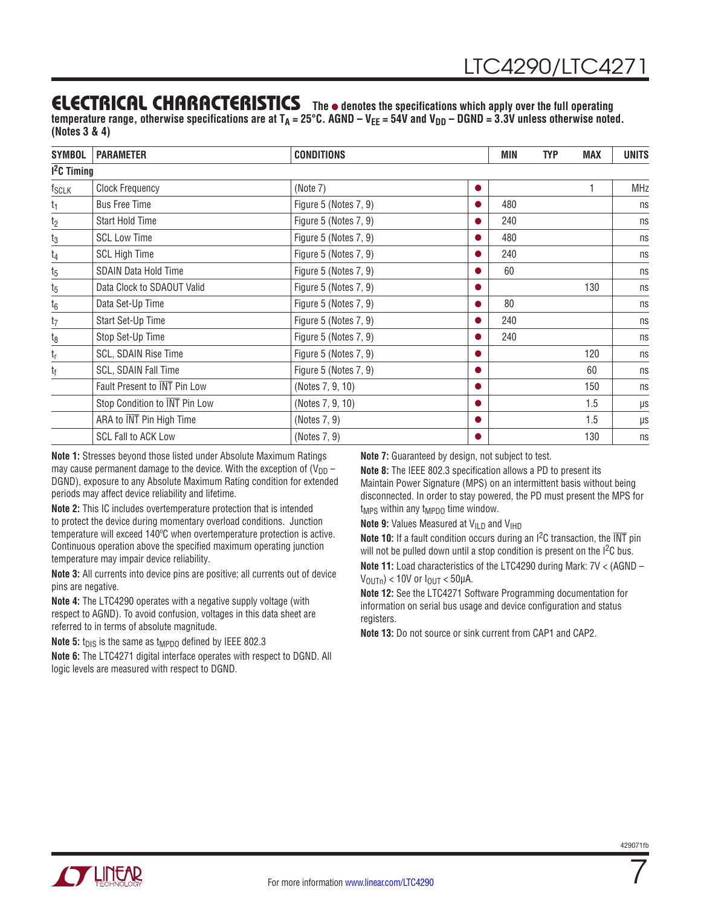temperature range, otherwise specifications are at T<sub>A</sub> = 25°C. AGND – V<sub>EE</sub> = 54V and V<sub>DD</sub> – DGND = 3.3V unless otherwise noted. **(Notes 3 & 4)**

| <b>SYMBOL</b>     | <b>PARAMETER</b>              | <b>CONDITIONS</b>     |           | MIN | <b>TYP</b> | <b>MAX</b> | <b>UNITS</b> |
|-------------------|-------------------------------|-----------------------|-----------|-----|------------|------------|--------------|
| $12C$ Timing      |                               |                       |           |     |            |            |              |
| <sup>t</sup> SCLK | <b>Clock Frequency</b>        | (Note 7)              |           |     |            |            | <b>MHz</b>   |
| t <sub>1</sub>    | <b>Bus Free Time</b>          | Figure 5 (Notes 7, 9) | $\bullet$ | 480 |            |            | ns           |
| $\frac{t_2}{}$    | Start Hold Time               | Figure 5 (Notes 7, 9) |           | 240 |            |            | ns           |
| $\frac{t_3}{}$    | <b>SCL Low Time</b>           | Figure 5 (Notes 7, 9) |           | 480 |            |            | ns           |
| $\frac{t_4}{}$    | <b>SCL High Time</b>          | Figure 5 (Notes 7, 9) |           | 240 |            |            | ns           |
| $t_5$             | <b>SDAIN Data Hold Time</b>   | Figure 5 (Notes 7, 9) |           | 60  |            |            | ns           |
| $t_5$             | Data Clock to SDAOUT Valid    | Figure 5 (Notes 7, 9) |           |     |            | 130        | ns           |
| $t_6$             | Data Set-Up Time              | Figure 5 (Notes 7, 9) |           | 80  |            |            | ns           |
| $t_7$             | Start Set-Up Time             | Figure 5 (Notes 7, 9) |           | 240 |            |            | ns           |
| $t_8$             | Stop Set-Up Time              | Figure 5 (Notes 7, 9) |           | 240 |            |            | ns           |
| $t_{\sf r}$       | SCL, SDAIN Rise Time          | Figure 5 (Notes 7, 9) |           |     |            | 120        | ns           |
| $t_{\rm f}$       | <b>SCL, SDAIN Fall Time</b>   | Figure 5 (Notes 7, 9) |           |     |            | 60         | ns           |
|                   | Fault Present to INT Pin Low  | (Notes 7, 9, 10)      |           |     |            | 150        | ns           |
|                   | Stop Condition to INT Pin Low | (Notes 7, 9, 10)      |           |     |            | 1.5        | $\mu s$      |
|                   | ARA to INT Pin High Time      | (Notes 7, 9)          |           |     |            | 1.5        | $\mu s$      |
|                   | <b>SCL Fall to ACK Low</b>    | (Notes 7, 9)          |           |     |            | 130        | ns           |

**Note 1:** Stresses beyond those listed under Absolute Maximum Ratings may cause permanent damage to the device. With the exception of  $(V_{DD} -$ DGND), exposure to any Absolute Maximum Rating condition for extended periods may affect device reliability and lifetime.

**Note 2:** This IC includes overtemperature protection that is intended to protect the device during momentary overload conditions. Junction temperature will exceed 140ºC when overtemperature protection is active. Continuous operation above the specified maximum operating junction temperature may impair device reliability.

**Note 3:** All currents into device pins are positive; all currents out of device pins are negative.

**Note 4:** The LTC4290 operates with a negative supply voltage (with respect to AGND). To avoid confusion, voltages in this data sheet are referred to in terms of absolute magnitude.

Note 5: t<sub>DIS</sub> is the same as t<sub>MPDO</sub> defined by IEEE 802.3

**Note 6:** The LTC4271 digital interface operates with respect to DGND. All logic levels are measured with respect to DGND.

**Note 7:** Guaranteed by design, not subject to test.

**Note 8:** The IEEE 802.3 specification allows a PD to present its Maintain Power Signature (MPS) on an intermittent basis without being disconnected. In order to stay powered, the PD must present the MPS for  $t<sub>MPS</sub>$  within any  $t<sub>MPDO</sub>$  time window.

**Note 9:** Values Measured at V<sub>ILD</sub> and V<sub>IHD</sub>

**Note 10:** If a fault condition occurs during an I<sup>2</sup>C transaction, the  $\overline{\text{INT}}$  pin will not be pulled down until a stop condition is present on the I<sup>2</sup>C bus. **Note 11:** Load characteristics of the LTC4290 during Mark: 7V < (AGND –

 $V_{\text{OUTD}}$  < 10V or  $I_{\text{OUT}}$  < 50µA.

**Note 12:** See the LTC4271 Software Programming documentation for information on serial bus usage and device configuration and status registers.

**Note 13:** Do not source or sink current from CAP1 and CAP2.



7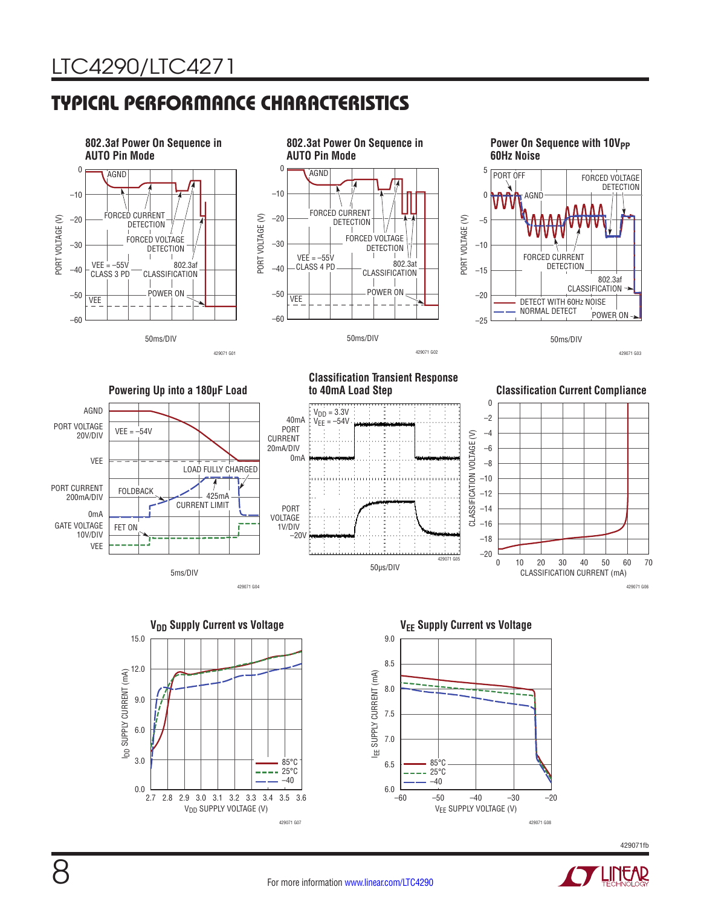# TYPICAL PERFORMANCE CHARACTERISTICS



50µs/DIV



429071 G04

–20V

1V/DIV





–16 –18 –20

42907



429071fb

429071 G06



CLASSIFICATION CURRENT (mA)

0 2010 30 40 50 60 70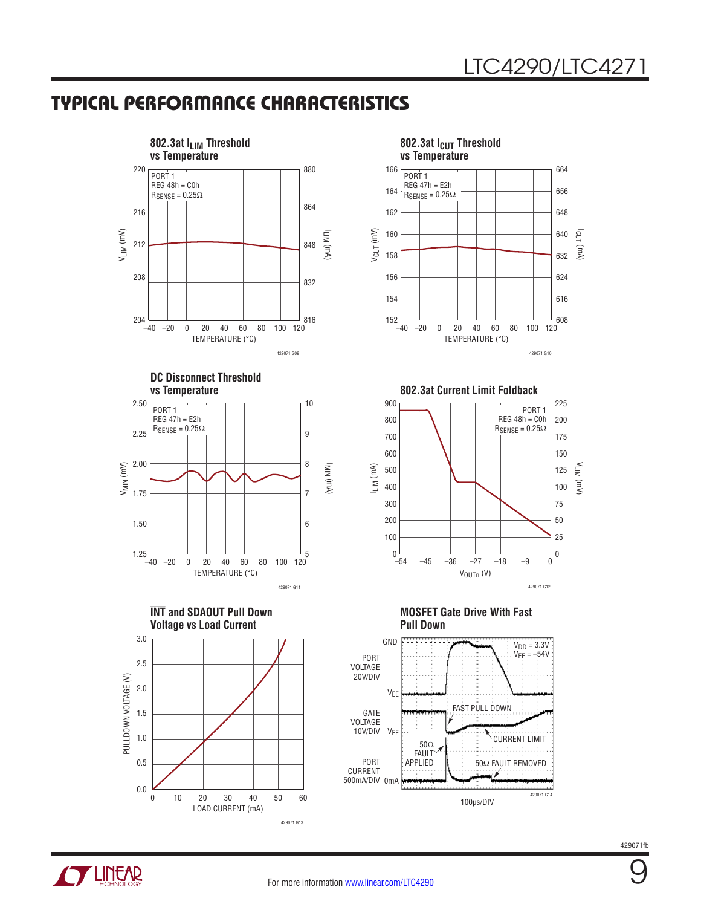### TYPICAL PERFORMANCE CHARACTERISTICS











**vs Temperature 802.3at Current Limit Foldback**









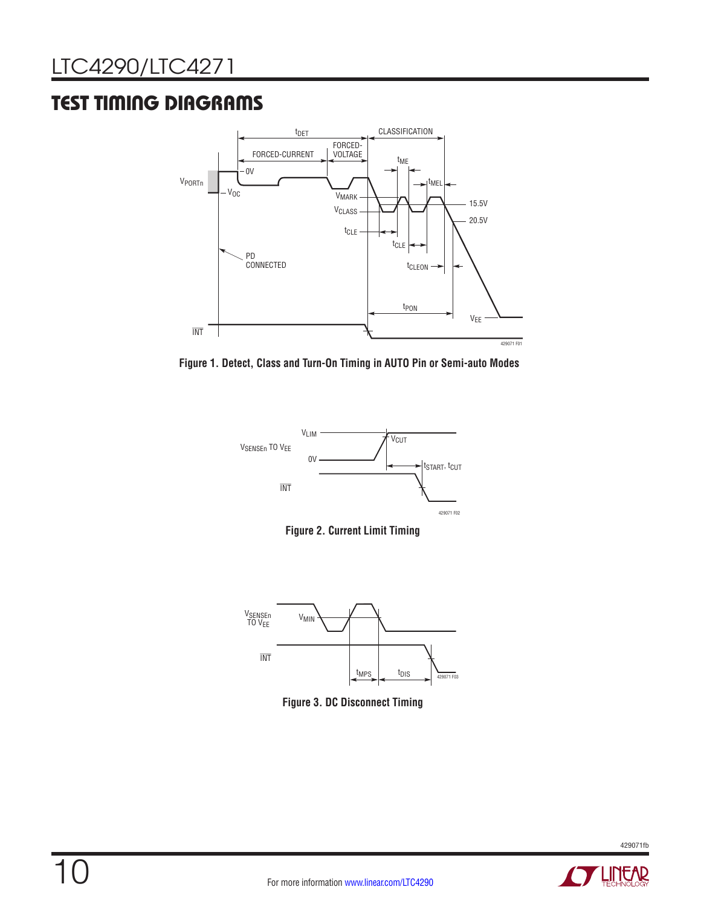### TEST TIMING DIAGRAMS



**Figure 1. Detect, Class and Turn-On Timing in AUTO Pin or Semi-auto Modes**







**Figure 3. DC Disconnect Timing**



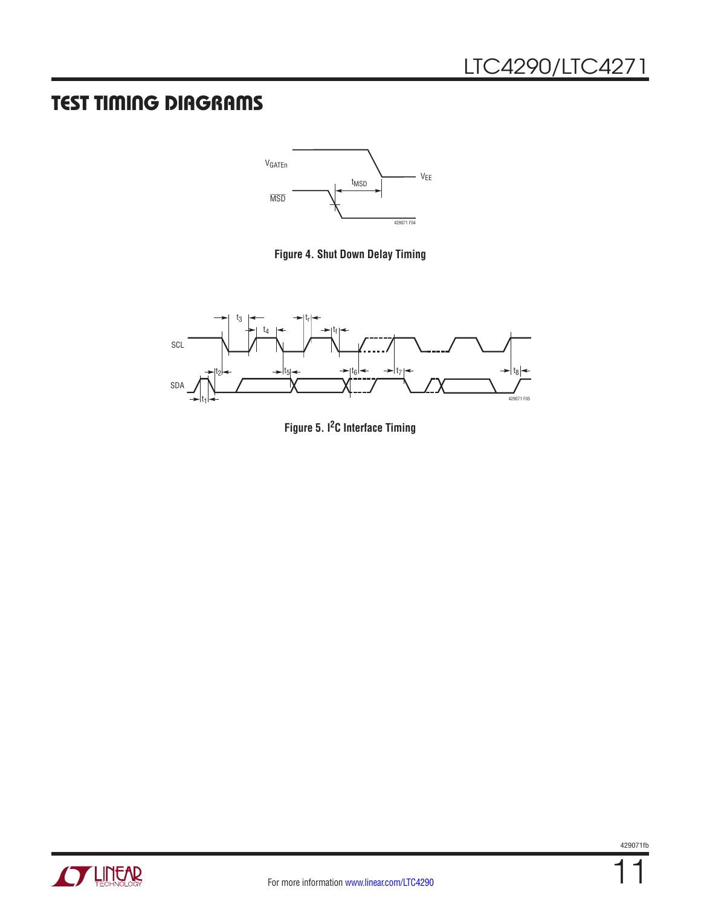### TEST TIMING DIAGRAMS



**Figure 4. Shut Down Delay Timing**



**Figure 5. I 2C Interface Timing**

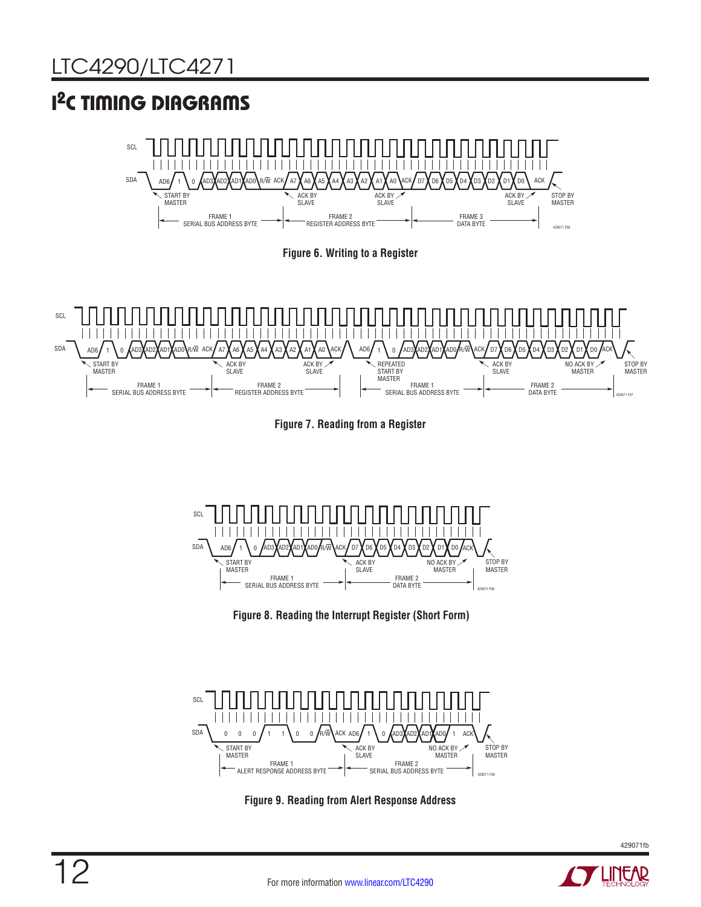# I 2C TIMING DIAGRAMS



**Figure 7. Reading from a Register**



**Figure 8. Reading the Interrupt Register (Short Form)**



**Figure 9. Reading from Alert Response Address**

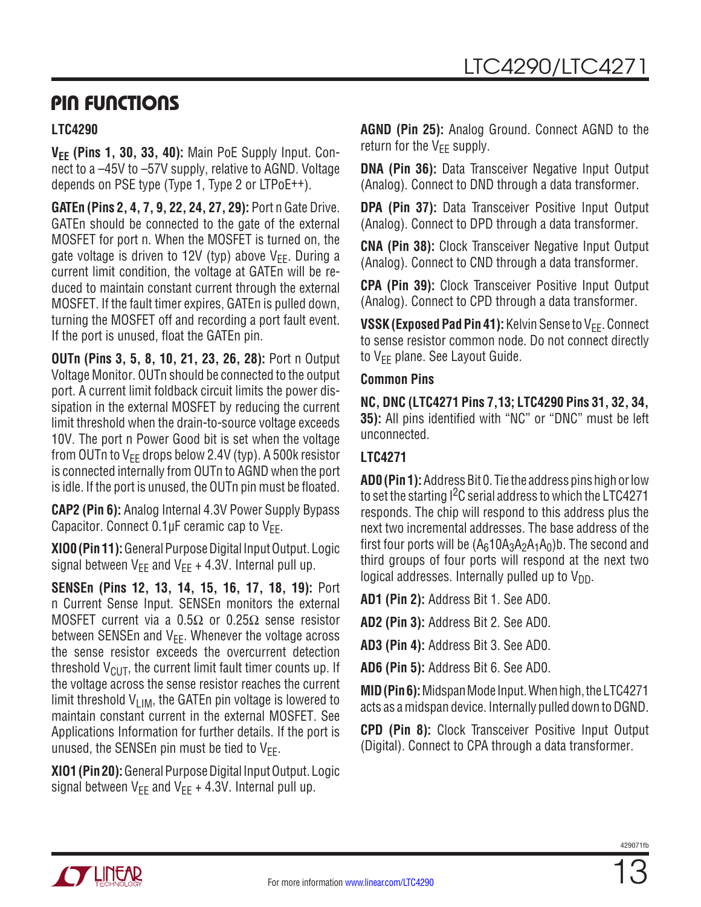### PIN FUNCTIONS

### **LTC4290**

**VEE (Pins 1, 30, 33, 40):** Main PoE Supply Input. Connect to a –45V to –57V supply, relative to AGND. Voltage depends on PSE type (Type 1, Type 2 or LTPoE++).

**GATEn (Pins 2, 4, 7, 9, 22, 24, 27, 29):** Port n Gate Drive. GATEn should be connected to the gate of the external MOSFET for port n. When the MOSFET is turned on, the gate voltage is driven to 12V (typ) above  $V_{EE}$ . During a current limit condition, the voltage at GATEn will be reduced to maintain constant current through the external MOSFET. If the fault timer expires, GATEn is pulled down, turning the MOSFET off and recording a port fault event. If the port is unused, float the GATEn pin.

**OUTn (Pins 3, 5, 8, 10, 21, 23, 26, 28):** Port n Output Voltage Monitor. OUTn should be connected to the output port. A current limit foldback circuit limits the power dissipation in the external MOSFET by reducing the current limit threshold when the drain-to-source voltage exceeds 10V. The port n Power Good bit is set when the voltage from OUTn to  $V_{EE}$  drops below 2.4V (typ). A 500k resistor is connected internally from OUTn to AGND when the port is idle. If the port is unused, the OUTn pin must be floated.

**CAP2 (Pin 6):** Analog Internal 4.3V Power Supply Bypass Capacitor. Connect  $0.1 \mu$ F ceramic cap to  $V_{FF}$ .

**XIO0(Pin 11):** General Purpose Digital Input Output. Logic signal between  $V_{EE}$  and  $V_{EE}$  + 4.3V. Internal pull up.

**SENSEn (Pins 12, 13, 14, 15, 16, 17, 18, 19):** Port n Current Sense Input. SENSEn monitors the external MOSFET current via a 0.5Ω or 0.25Ω sense resistor between SENSEn and  $V_{FF}$ . Whenever the voltage across the sense resistor exceeds the overcurrent detection threshold  $V_{\text{ClIT}}$ , the current limit fault timer counts up. If the voltage across the sense resistor reaches the current limit threshold  $V_{LIM}$ , the GATEn pin voltage is lowered to maintain constant current in the external MOSFET. See Applications Information for further details. If the port is unused, the SENSEn pin must be tied to  $V_{FF}$ .

**XIO1(Pin 20):** General Purpose Digital Input Output. Logic signal between  $V_{FF}$  and  $V_{FF}$  + 4.3V. Internal pull up.

**AGND (Pin 25):** Analog Ground. Connect AGND to the return for the  $V_{FF}$  supply.

**DNA (Pin 36):** Data Transceiver Negative Input Output (Analog). Connect to DND through a data transformer.

**DPA (Pin 37):** Data Transceiver Positive Input Output (Analog). Connect to DPD through a data transformer.

**CNA (Pin 38):** Clock Transceiver Negative Input Output (Analog). Connect to CND through a data transformer.

**CPA (Pin 39):** Clock Transceiver Positive Input Output (Analog). Connect to CPD through a data transformer.

**VSSK (Exposed Pad Pin 41):** Kelvin Sense to V<sub>EE</sub>. Connect to sense resistor common node. Do not connect directly to  $V_{FF}$  plane. See Layout Guide.

#### **Common Pins**

**NC, DNC (LTC4271 Pins 7,13; LTC4290 Pins 31, 32, 34, 35):** All pins identified with "NC" or "DNC" must be left unconnected.

#### **LTC4271**

**AD0 (Pin 1):** Address Bit 0. Tie the address pins high or low to set the starting I<sup>2</sup>C serial address to which the LTC4271 responds. The chip will respond to this address plus the next two incremental addresses. The base address of the first four ports will be  $(A<sub>6</sub>10A<sub>3</sub>A<sub>2</sub>A<sub>1</sub>A<sub>0</sub>)$ b. The second and third groups of four ports will respond at the next two logical addresses. Internally pulled up to  $V_{DD}$ .

**AD1 (Pin 2):** Address Bit 1. See AD0.

**AD2 (Pin 3):** Address Bit 2. See AD0.

**AD3 (Pin 4):** Address Bit 3. See AD0.

**AD6 (Pin 5):** Address Bit 6. See AD0.

**MID (Pin 6):** Midspan Mode Input. When high, the LTC4271 acts as a midspan device. Internally pulled down to DGND.

**CPD (Pin 8):** Clock Transceiver Positive Input Output (Digital). Connect to CPA through a data transformer.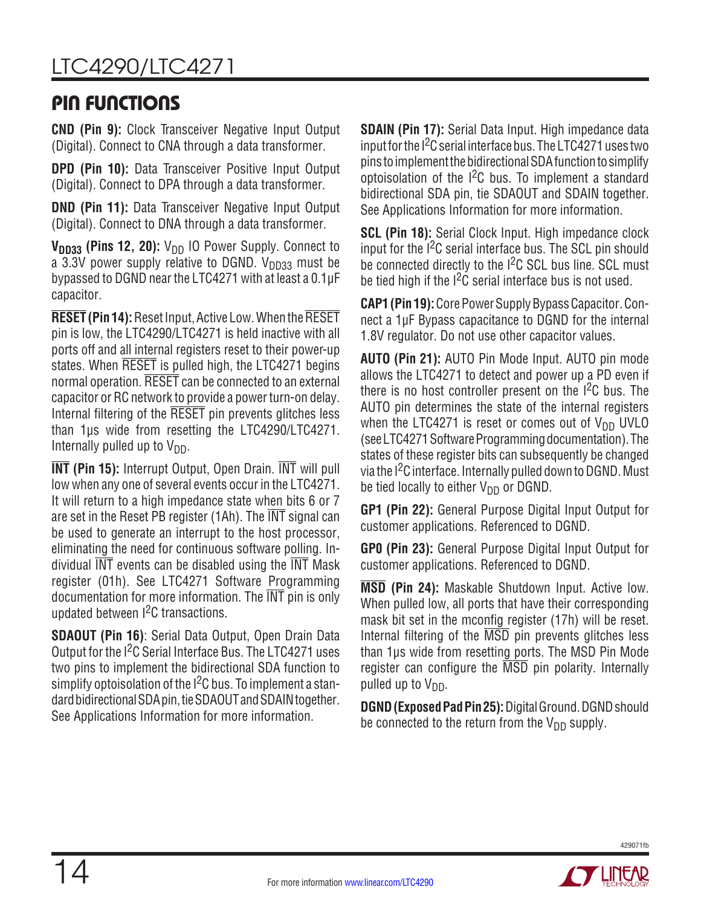### PIN FUNCTIONS

**CND (Pin 9):** Clock Transceiver Negative Input Output (Digital). Connect to CNA through a data transformer.

**DPD (Pin 10):** Data Transceiver Positive Input Output (Digital). Connect to DPA through a data transformer.

**DND (Pin 11):** Data Transceiver Negative Input Output (Digital). Connect to DNA through a data transformer.

**V<sub>DD33</sub>** (Pins 12, 20): V<sub>DD</sub> IO Power Supply. Connect to a 3.3V power supply relative to DGND.  $V_{DD33}$  must be bypassed to DGND near the LTC4271 with at least a 0.1μF capacitor.

**RESET (Pin 14):**Reset Input, Active Low. When the RESET pin is low, the LTC4290/LTC4271 is held inactive with all ports off and all internal registers reset to their power-up states. When RESET is pulled high, the LTC4271 begins normal operation. RESET can be connected to an external capacitor or RC network to provide a power turn-on delay. Internal filtering of the RESET pin prevents glitches less than 1μs wide from resetting the LTC4290/LTC4271. Internally pulled up to  $V_{DD}$ .

**INT (Pin 15):** Interrupt Output, Open Drain. INT will pull low when any one of several events occur in the LTC4271. It will return to a high impedance state when bits 6 or 7 are set in the Reset PB register (1Ah). The INT signal can be used to generate an interrupt to the host processor, eliminating the need for continuous software polling. Individual  $\overline{\text{INT}}$  events can be disabled using the  $\overline{\text{INT}}$  Mask register (01h). See LTC4271 Software Programming documentation for more information. The INT pin is only updated between <sup>2</sup>C transactions.

**SDAOUT (Pin 16)**: Serial Data Output, Open Drain Data Output for the I2C Serial Interface Bus. The LTC4271 uses two pins to implement the bidirectional SDA function to simplify optoisolation of the I<sup>2</sup>C bus. To implement a standard bidirectional SDA pin, tie SDAOUT and SDAIN together. See Applications Information for more information.

**SDAIN (Pin 17):** Serial Data Input. High impedance data input for the I2C serial interface bus. The LTC4271 uses two pins to implement the bidirectional SDA function to simplify optoisolation of the  $1^2C$  bus. To implement a standard bidirectional SDA pin, tie SDAOUT and SDAIN together. See Applications Information for more information.

**SCL (Pin 18):** Serial Clock Input. High impedance clock input for the  $1<sup>2</sup>C$  serial interface bus. The SCL pin should be connected directly to the I<sup>2</sup>C SCL bus line. SCL must be tied high if the  $1^2C$  serial interface bus is not used.

**CAP1(Pin 19):** Core Power Supply Bypass Capacitor. Connect a 1µF Bypass capacitance to DGND for the internal 1.8V regulator. Do not use other capacitor values.

**AUTO (Pin 21):** AUTO Pin Mode Input. AUTO pin mode allows the LTC4271 to detect and power up a PD even if there is no host controller present on the  $1<sup>2</sup>C$  bus. The AUTO pin determines the state of the internal registers when the LTC4271 is reset or comes out of  $V_{DD}$  UVLO (see LTC4271 Software Programming documentation). The states of these register bits can subsequently be changed via the I2C interface. Internally pulled down to DGND. Must be tied locally to either  $V_{DD}$  or DGND.

**GP1 (Pin 22):** General Purpose Digital Input Output for customer applications. Referenced to DGND.

**GP0 (Pin 23):** General Purpose Digital Input Output for customer applications. Referenced to DGND.

**MSD (Pin 24):** Maskable Shutdown Input. Active low. When pulled low, all ports that have their corresponding mask bit set in the mconfig register (17h) will be reset. Internal filtering of the MSD pin prevents glitches less than 1μs wide from resetting ports. The MSD Pin Mode register can configure the MSD pin polarity. Internally pulled up to  $V_{DD}$ .

**DGND (Exposed Pad Pin 25):** Digital Ground. DGND should be connected to the return from the  $V_{DD}$  supply.

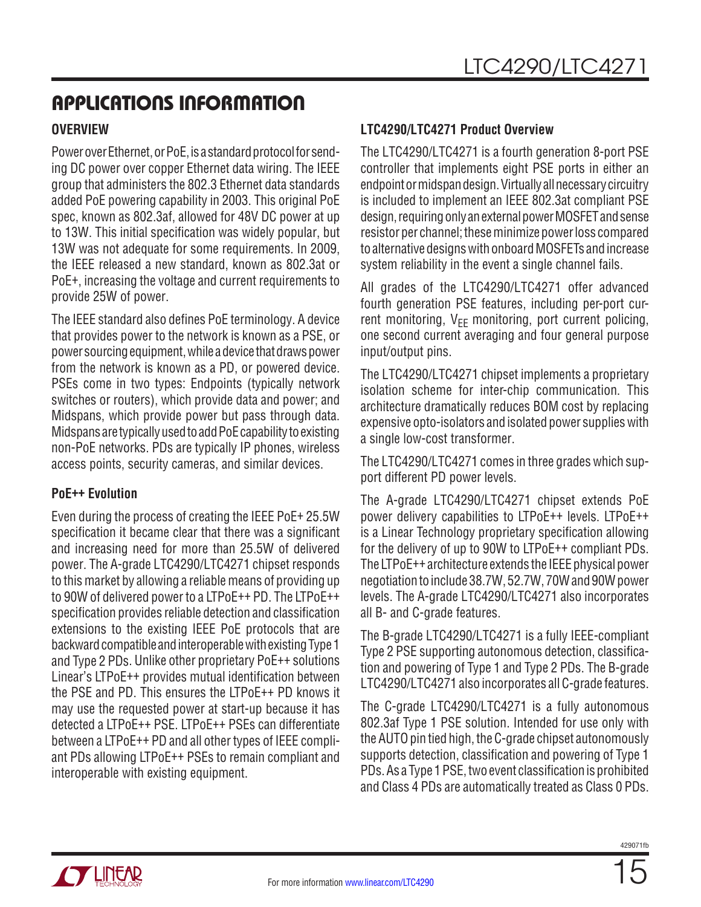#### **OVERVIEW**

Power over Ethernet, or PoE, is a standard protocol for sending DC power over copper Ethernet data wiring. The IEEE group that administers the 802.3 Ethernet data standards added PoE powering capability in 2003. This original PoE spec, known as 802.3af, allowed for 48V DC power at up to 13W. This initial specification was widely popular, but 13W was not adequate for some requirements. In 2009, the IEEE released a new standard, known as 802.3at or PoE+, increasing the voltage and current requirements to provide 25W of power.

The IEEE standard also defines PoE terminology. A device that provides power to the network is known as a PSE, or power sourcing equipment, while a device that draws power from the network is known as a PD, or powered device. PSEs come in two types: Endpoints (typically network switches or routers), which provide data and power; and Midspans, which provide power but pass through data. Midspans are typically used to add PoE capability to existing non-PoE networks. PDs are typically IP phones, wireless access points, security cameras, and similar devices.

#### **PoE++ Evolution**

Even during the process of creating the IEEE PoE+ 25.5W specification it became clear that there was a significant and increasing need for more than 25.5W of delivered power. The A-grade LTC4290/LTC4271 chipset responds to this market by allowing a reliable means of providing up to 90W of delivered power to a LTPoE++ PD. The LTPoE++ specification provides reliable detection and classification extensions to the existing IEEE PoE protocols that are backward compatible and interoperable with existing Type 1 and Type 2 PDs. Unlike other proprietary PoE++ solutions Linear's LTPoE++ provides mutual identification between the PSE and PD. This ensures the LTPoE++ PD knows it may use the requested power at start-up because it has detected a LTPoE++ PSE. LTPoE++ PSEs can differentiate between a LTPoE++ PD and all other types of IEEE compliant PDs allowing LTPoE++ PSEs to remain compliant and interoperable with existing equipment.

#### **LTC4290/LTC4271 Product Overview**

The LTC4290/LTC4271 is a fourth generation 8-port PSE controller that implements eight PSE ports in either an endpoint or midspan design. Virtually all necessary circuitry is included to implement an IEEE 802.3at compliant PSE design, requiring only an external power MOSFET and sense resistor per channel; these minimize power loss compared to alternative designs with onboard MOSFETs and increase system reliability in the event a single channel fails.

All grades of the LTC4290/LTC4271 offer advanced fourth generation PSE features, including per-port current monitoring,  $V_{FF}$  monitoring, port current policing, one second current averaging and four general purpose input/output pins.

The LTC4290/LTC4271 chipset implements a proprietary isolation scheme for inter-chip communication. This architecture dramatically reduces BOM cost by replacing expensive opto-isolators and isolated power supplies with a single low-cost transformer.

The LTC4290/LTC4271 comes in three grades which support different PD power levels.

The A-grade LTC4290/LTC4271 chipset extends PoE power delivery capabilities to LTPoE++ levels. LTPoE++ is a Linear Technology proprietary specification allowing for the delivery of up to 90W to LTPoE++ compliant PDs. The LTPoE++ architecture extends the IEEE physical power negotiation to include 38.7W,52.7W,70W and 90W power levels. The A-grade LTC4290/LTC4271 also incorporates all B- and C-grade features.

The B-grade LTC4290/LTC4271 is a fully IEEE-compliant Type 2 PSE supporting autonomous detection, classification and powering of Type 1 and Type 2 PDs. The B-grade LTC4290/LTC4271 also incorporates all C-grade features.

The C-grade LTC4290/LTC4271 is a fully autonomous 802.3af Type 1 PSE solution. Intended for use only with the AUTO pin tied high, the C-grade chipset autonomously supports detection, classification and powering of Type 1 PDs. As a Type 1 PSE, two event classification is prohibited and Class 4 PDs are automatically treated as Class 0 PDs.

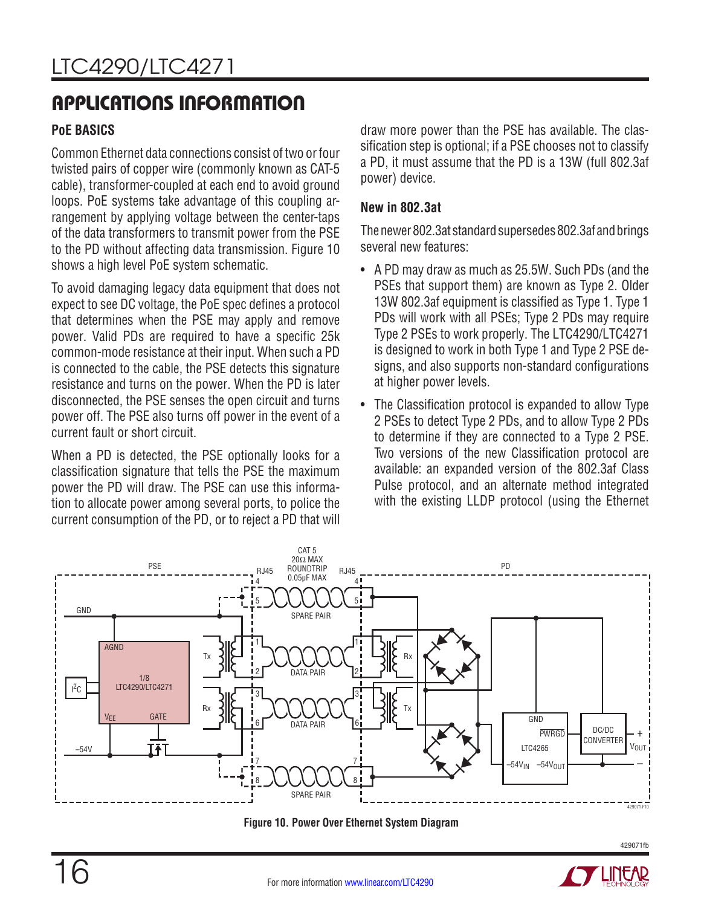#### **PoE BASICS**

Common Ethernet data connections consist of two or four twisted pairs of copper wire (commonly known as CAT-5 cable), transformer-coupled at each end to avoid ground loops. PoE systems take advantage of this coupling arrangement by applying voltage between the center-taps of the data transformers to transmit power from the PSE to the PD without affecting data transmission. Figure 10 shows a high level PoE system schematic.

To avoid damaging legacy data equipment that does not expect to see DC voltage, the PoE spec defines a protocol that determines when the PSE may apply and remove power. Valid PDs are required to have a specific 25k common-mode resistance at their input. When such a PD is connected to the cable, the PSE detects this signature resistance and turns on the power. When the PD is later disconnected, the PSE senses the open circuit and turns power off. The PSE also turns off power in the event of a current fault or short circuit.

When a PD is detected, the PSE optionally looks for a classification signature that tells the PSE the maximum power the PD will draw. The PSE can use this information to allocate power among several ports, to police the current consumption of the PD, or to reject a PD that will

draw more power than the PSE has available. The classification step is optional; if a PSE chooses not to classify a PD, it must assume that the PD is a 13W (full 802.3af power) device.

#### **New in 802.3at**

The newer 802.3at standard supersedes 802.3af and brings several new features:

- A PD may draw as much as 25.5W. Such PDs (and the PSEs that support them) are known as Type 2. Older 13W 802.3af equipment is classified as Type 1. Type 1 PDs will work with all PSEs; Type 2 PDs may require Type 2 PSEs to work properly. The LTC4290/LTC4271 is designed to work in both Type 1 and Type 2 PSE designs, and also supports non-standard configurations at higher power levels.
- The Classification protocol is expanded to allow Type 2 PSEs to detect Type 2 PDs, and to allow Type 2 PDs to determine if they are connected to a Type 2 PSE. Two versions of the new Classification protocol are available: an expanded version of the 802.3af Class Pulse protocol, and an alternate method integrated with the existing LLDP protocol (using the Ethernet



**Figure 10. Power Over Ethernet System Diagram**

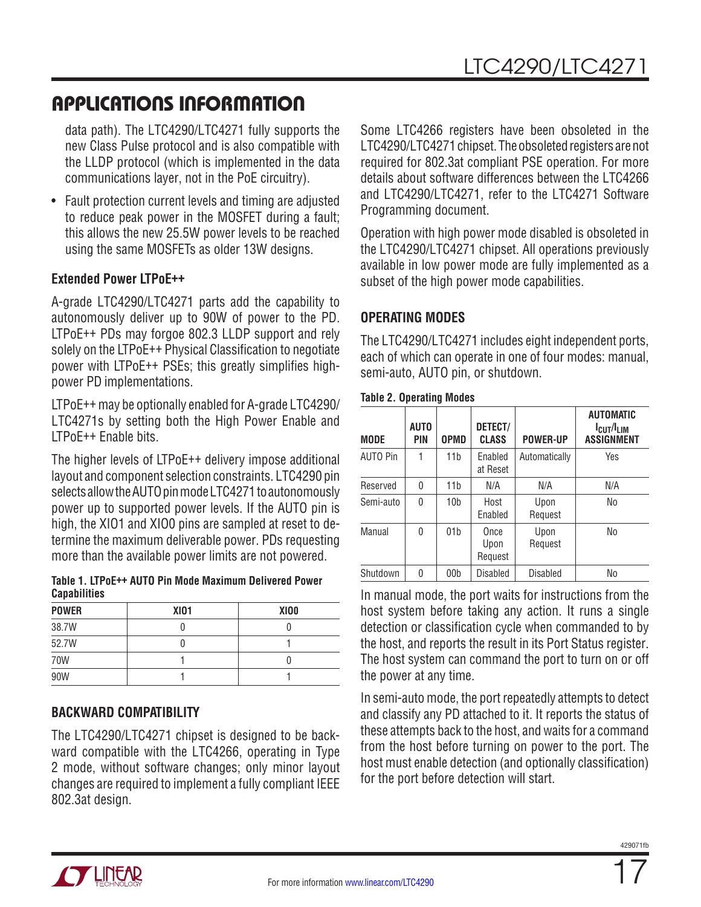data path). The LTC4290/LTC4271 fully supports the new Class Pulse protocol and is also compatible with the LLDP protocol (which is implemented in the data communications layer, not in the PoE circuitry).

• Fault protection current levels and timing are adjusted to reduce peak power in the MOSFET during a fault; this allows the new 25.5W power levels to be reached using the same MOSFETs as older 13W designs.

#### **Extended Power LTPoE++**

A-grade LTC4290/LTC4271 parts add the capability to autonomously deliver up to 90W of power to the PD. LTPoE++ PDs may forgoe 802.3 LLDP support and rely solely on the LTPoE++ Physical Classification to negotiate power with LTPoE++ PSEs; this greatly simplifies highpower PD implementations.

LTPoE++ may be optionally enabled for A-grade LTC4290/ LTC4271s by setting both the High Power Enable and LTPoE++ Enable bits.

The higher levels of LTPoE++ delivery impose additional layout and component selection constraints. LTC4290 pin selects allow the AUTO pin mode LTC4271 to autonomously power up to supported power levels. If the AUTO pin is high, the XIO1 and XIO0 pins are sampled at reset to determine the maximum deliverable power. PDs requesting more than the available power limits are not powered.

#### **Table 1. LTPoE++ AUTO Pin Mode Maximum Delivered Power Capabilities**

| <b>POWER</b> | <b>XI01</b> | XIO <sub>0</sub> |
|--------------|-------------|------------------|
| 38.7W        |             |                  |
| 52.7W        |             |                  |
| 70W          |             |                  |
| 90W          |             |                  |

#### **BACKWARD COMPATIBILITY**

The LTC4290/LTC4271 chipset is designed to be backward compatible with the LTC4266, operating in Type 2 mode, without software changes; only minor layout changes are required to implement a fully compliant IEEE 802.3at design.

Some LTC4266 registers have been obsoleted in the LTC4290/LTC4271 chipset. The obsoleted registers are not required for 802.3at compliant PSE operation. For more details about software differences between the LTC4266 and LTC4290/LTC4271, refer to the LTC4271 Software Programming document.

Operation with high power mode disabled is obsoleted in the LTC4290/LTC4271 chipset. All operations previously available in low power mode are fully implemented as a subset of the high power mode capabilities.

#### **OPERATING MODES**

The LTC4290/LTC4271 includes eight independent ports, each of which can operate in one of four modes: manual, semi-auto, AUTO pin, or shutdown.

|  |  | <b>Table 2. Operating Modes</b> |  |
|--|--|---------------------------------|--|
|--|--|---------------------------------|--|

| <b>MODE</b>     | <b>AUTO</b><br>PIN | <b>OPMD</b>     | DETECT/<br><b>CLASS</b> | <b>POWER-UP</b> | <b>AUTOMATIC</b><br>I <sub>cut</sub> /I <sub>lim</sub><br><b>ASSIGNMENT</b> |
|-----------------|--------------------|-----------------|-------------------------|-----------------|-----------------------------------------------------------------------------|
| <b>AUTO Pin</b> |                    | 11 <sub>b</sub> | Enabled<br>at Reset     | Automatically   | Yes                                                                         |
| Reserved        | 0                  | 11 <sub>b</sub> | N/A                     | N/A             | N/A                                                                         |
| Semi-auto       | 0                  | 10 <sub>b</sub> | Host<br>Enabled         | Upon<br>Request | No                                                                          |
| Manual          | 0                  | 01 <sub>b</sub> | Once<br>Upon<br>Request | Upon<br>Request | No                                                                          |
| Shutdown        | 0                  | 00 <sub>b</sub> | Disabled                | Disabled        | No                                                                          |

In manual mode, the port waits for instructions from the host system before taking any action. It runs a single detection or classification cycle when commanded to by the host, and reports the result in its Port Status register. The host system can command the port to turn on or off the power at any time.

In semi-auto mode, the port repeatedly attempts to detect and classify any PD attached to it. It reports the status of these attempts back to the host, and waits for a command from the host before turning on power to the port. The host must enable detection (and optionally classification) for the port before detection will start.

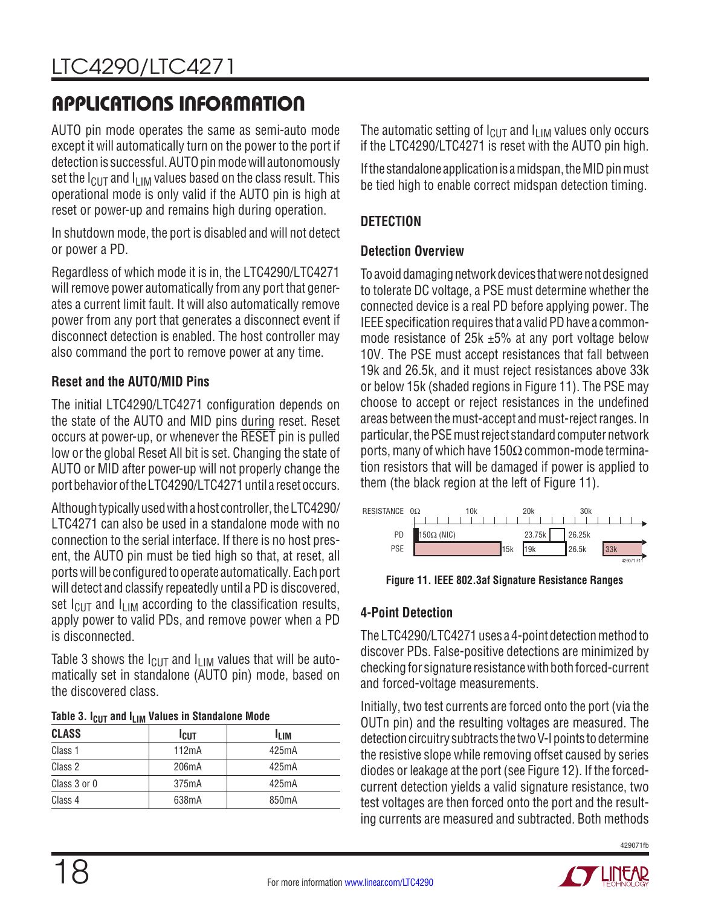AUTO pin mode operates the same as semi-auto mode except it will automatically turn on the power to the port if detection is successful. AUTO pin mode will autonomously set the  $I_{\text{ClIT}}$  and  $I_{\text{LIM}}$  values based on the class result. This operational mode is only valid if the AUTO pin is high at reset or power-up and remains high during operation.

In shutdown mode, the port is disabled and will not detect or power a PD.

Regardless of which mode it is in, the LTC4290/LTC4271 will remove power automatically from any port that generates a current limit fault. It will also automatically remove power from any port that generates a disconnect event if disconnect detection is enabled. The host controller may also command the port to remove power at any time.

#### **Reset and the AUTO/MID Pins**

The initial LTC4290/LTC4271 configuration depends on the state of the AUTO and MID pins during reset. Reset occurs at power-up, or whenever the RESET pin is pulled low or the global Reset All bit is set. Changing the state of AUTO or MID after power-up will not properly change the port behavior of the LTC4290/LTC4271 until a reset occurs.

Although typically used with a host controller, the LTC4290/ LTC4271 can also be used in a standalone mode with no connection to the serial interface. If there is no host present, the AUTO pin must be tied high so that, at reset, all ports will be configured to operate automatically. Each port will detect and classify repeatedly until a PD is discovered, set  $I_{\text{ClIT}}$  and  $I_{\text{LIM}}$  according to the classification results, apply power to valid PDs, and remove power when a PD is disconnected.

Table 3 shows the  $I_{\text{CUT}}$  and  $I_{\text{LIM}}$  values that will be automatically set in standalone (AUTO pin) mode, based on the discovered class.

| Table 0. ICIIT and II IM values in otalitatulle Mode |              |                    |  |  |  |
|------------------------------------------------------|--------------|--------------------|--|--|--|
| <b>CLASS</b>                                         | <b>I</b> CUT | lı im              |  |  |  |
| Class 1                                              | 112mA        | 425 <sub>m</sub> A |  |  |  |
| Class 2                                              | 206mA        | 425 <sub>m</sub> A |  |  |  |
| Class 3 or 0                                         | 375mA        | 425mA              |  |  |  |
| Class 4                                              | 638mA        | 850 <sub>m</sub> A |  |  |  |

The automatic setting of  $I_{\text{Cl}}$  and  $I_{\text{LIM}}$  values only occurs if the LTC4290/LTC4271 is reset with the AUTO pin high.

If the standalone application is a midspan, the MID pin must be tied high to enable correct midspan detection timing.

### **DETECTION**

#### **Detection Overview**

To avoid damaging network devices that were not designed to tolerate DC voltage, a PSE must determine whether the connected device is a real PD before applying power. The IEEE specification requires that a valid PD have a commonmode resistance of 25k ±5% at any port voltage below 10V. The PSE must accept resistances that fall between 19k and 26.5k, and it must reject resistances above 33k or below 15k (shaded regions in Figure 11). The PSE may choose to accept or reject resistances in the undefined areas between the must-accept and must-reject ranges. In particular, the PSE must reject standard computer network ports, many of which have 150 $\Omega$  common-mode termination resistors that will be damaged if power is applied to them (the black region at the left of Figure 11).



**Figure 11. IEEE 802.3af Signature Resistance Ranges**

#### **4-Point Detection**

The LTC4290/LTC4271 uses a 4-point detection method to discover PDs. False-positive detections are minimized by checking for signature resistance with both forced-current and forced-voltage measurements.

Initially, two test currents are forced onto the port (via the OUTn pin) and the resulting voltages are measured. The detection circuitry subtracts the two V-I points to determine the resistive slope while removing offset caused by series diodes or leakage at the port (see Figure 12). If the forcedcurrent detection yields a valid signature resistance, two test voltages are then forced onto the port and the resulting currents are measured and subtracted. Both methods

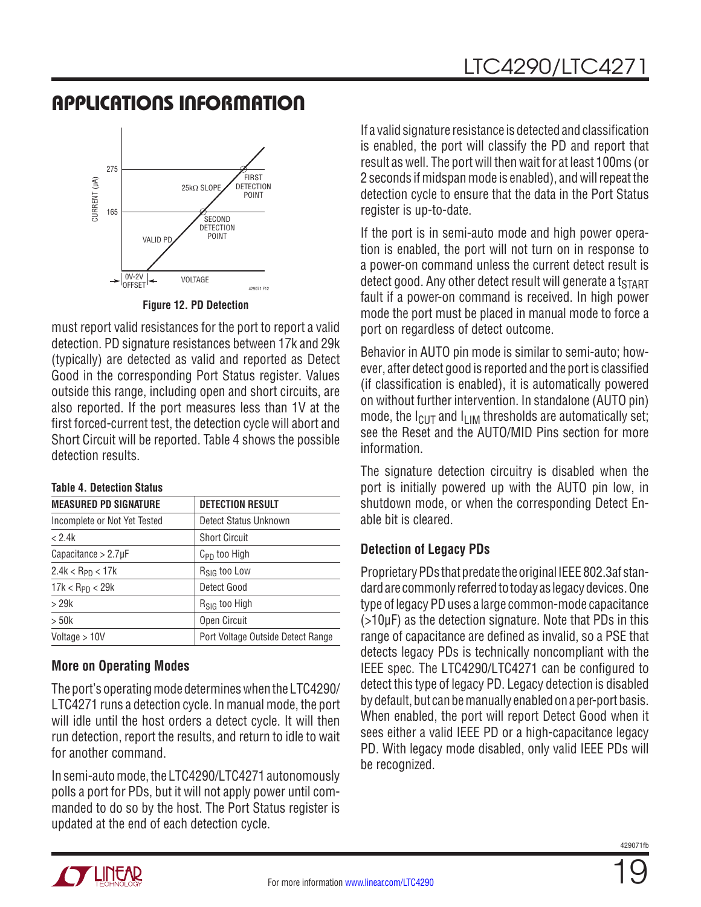

**Figure 12. PD Detection**

must report valid resistances for the port to report a valid detection. PD signature resistances between 17k and 29k (typically) are detected as valid and reported as Detect Good in the corresponding Port Status register. Values outside this range, including open and short circuits, are also reported. If the port measures less than 1V at the first forced-current test, the detection cycle will abort and Short Circuit will be reported. Table 4 shows the possible detection results.

#### **Table 4. Detection Status**

| <b>DETECTION RESULT</b>           |
|-----------------------------------|
| Detect Status Unknown             |
| <b>Short Circuit</b>              |
| $C_{\text{PD}}$ too High          |
| $R_{SIG}$ too Low                 |
| Detect Good                       |
| R <sub>SIG</sub> too High         |
| Open Circuit                      |
| Port Voltage Outside Detect Range |
|                                   |

### **More on Operating Modes**

The port's operating mode determines when the LTC4290/ LTC4271 runs a detection cycle. In manual mode, the port will idle until the host orders a detect cycle. It will then run detection, report the results, and return to idle to wait for another command.

In semi-auto mode, the LTC4290/LTC4271 autonomously polls a port for PDs, but it will not apply power until commanded to do so by the host. The Port Status register is updated at the end of each detection cycle.

If a valid signature resistance is detected and classification is enabled, the port will classify the PD and report that result as well. The port will then wait for at least 100ms (or 2 seconds if midspan mode is enabled), and will repeat the detection cycle to ensure that the data in the Port Status register is up-to-date.

If the port is in semi-auto mode and high power operation is enabled, the port will not turn on in response to a power-on command unless the current detect result is detect good. Any other detect result will generate a  $t_{\text{STAT}}$ fault if a power-on command is received. In high power mode the port must be placed in manual mode to force a port on regardless of detect outcome.

Behavior in AUTO pin mode is similar to semi-auto; however, after detect good is reported and the port is classified (if classification is enabled), it is automatically powered on without further intervention. In standalone (AUTO pin) mode, the  $I_{\text{CUT}}$  and  $I_{\text{LIM}}$  thresholds are automatically set; see the Reset and the AUTO/MID Pins section for more information.

The signature detection circuitry is disabled when the port is initially powered up with the AUTO pin low, in shutdown mode, or when the corresponding Detect Enable bit is cleared.

### **Detection of Legacy PDs**

Proprietary PDs that predate the original IEEE 802.3af standard are commonly referred to today as legacy devices. One type of legacy PD uses a large common-mode capacitance (>10μF) as the detection signature. Note that PDs in this range of capacitance are defined as invalid, so a PSE that detects legacy PDs is technically noncompliant with the IEEE spec. The LTC4290/LTC4271 can be configured to detect this type of legacy PD. Legacy detection is disabled by default, but can be manually enabled on a per-port basis. When enabled, the port will report Detect Good when it sees either a valid IEEE PD or a high-capacitance legacy PD. With legacy mode disabled, only valid IEEE PDs will be recognized.

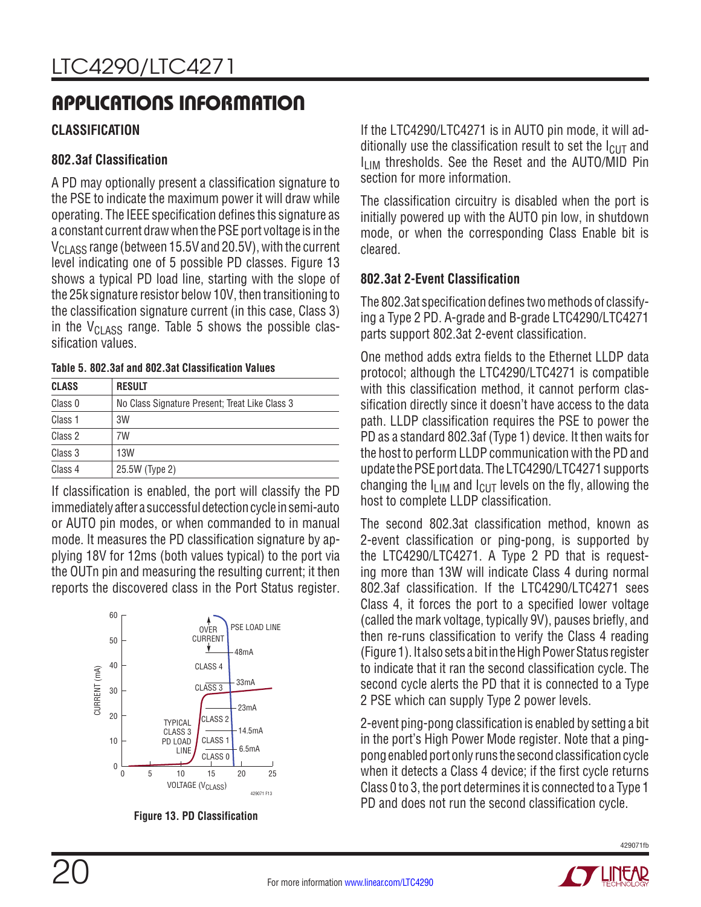#### **CLASSIFICATION**

#### **802.3af Classification**

A PD may optionally present a classification signature to the PSE to indicate the maximum power it will draw while operating. The IEEE specification defines this signature as a constant current draw when the PSE port voltage is in the  $V_{C1,ASS}$  range (between 15.5V and 20.5V), with the current level indicating one of 5 possible PD classes. Figure 13 shows a typical PD load line, starting with the slope of the 25k signature resistor below 10V, then transitioning to the classification signature current (in this case, Class 3) in the  $V_{C1,ASS}$  range. Table 5 shows the possible classification values.

**Table 5. 802.3af and 802.3at Classification Values**

| <b>CLASS</b> | <b>RESULT</b>                                  |
|--------------|------------------------------------------------|
| Class 0      | No Class Signature Present; Treat Like Class 3 |
| Class 1      | 3W                                             |
| Class 2      | 7W                                             |
| Class 3      | 13W                                            |
| Class 4      | 25.5W (Type 2)                                 |

If classification is enabled, the port will classify the PD immediately after a successful detection cycle in semi-auto or AUTO pin modes, or when commanded to in manual mode. It measures the PD classification signature by applying 18V for 12ms (both values typical) to the port via the OUTn pin and measuring the resulting current; it then reports the discovered class in the Port Status register.



**Figure 13. PD Classification**

If the LTC4290/LTC4271 is in AUTO pin mode, it will additionally use the classification result to set the  $I_{\text{ClIT}}$  and  $I_{\text{LIM}}$  thresholds. See the Reset and the AUTO/MID Pin section for more information.

The classification circuitry is disabled when the port is initially powered up with the AUTO pin low, in shutdown mode, or when the corresponding Class Enable bit is cleared.

#### **802.3at 2-Event Classification**

The 802.3at specification defines two methods of classifying a Type 2 PD. A-grade and B-grade LTC4290/LTC4271 parts support 802.3at 2-event classification.

One method adds extra fields to the Ethernet LLDP data protocol; although the LTC4290/LTC4271 is compatible with this classification method, it cannot perform classification directly since it doesn't have access to the data path. LLDP classification requires the PSE to power the PD as a standard 802.3af (Type 1) device. It then waits for the host to perform LLDP communication with the PD and update the PSE port data. The LTC4290/LTC4271 supports changing the  $I_{LIM}$  and  $I_{CUT}$  levels on the fly, allowing the host to complete LLDP classification.

The second 802.3at classification method, known as 2-event classification or ping-pong, is supported by the LTC4290/LTC4271. A Type 2 PD that is requesting more than 13W will indicate Class 4 during normal 802.3af classification. If the LTC4290/LTC4271 sees Class 4, it forces the port to a specified lower voltage (called the mark voltage, typically 9V), pauses briefly, and then re-runs classification to verify the Class 4 reading (Figure 1). It also sets a bit in the High Power Status register to indicate that it ran the second classification cycle. The second cycle alerts the PD that it is connected to a Type 2 PSE which can supply Type 2 power levels.

2-event ping-pong classification is enabled by setting a bit in the port's High Power Mode register. Note that a pingpong enabled port only runs the second classification cycle when it detects a Class 4 device; if the first cycle returns Class 0 to 3, the port determines it is connected to a Type 1 PD and does not run the second classification cycle.



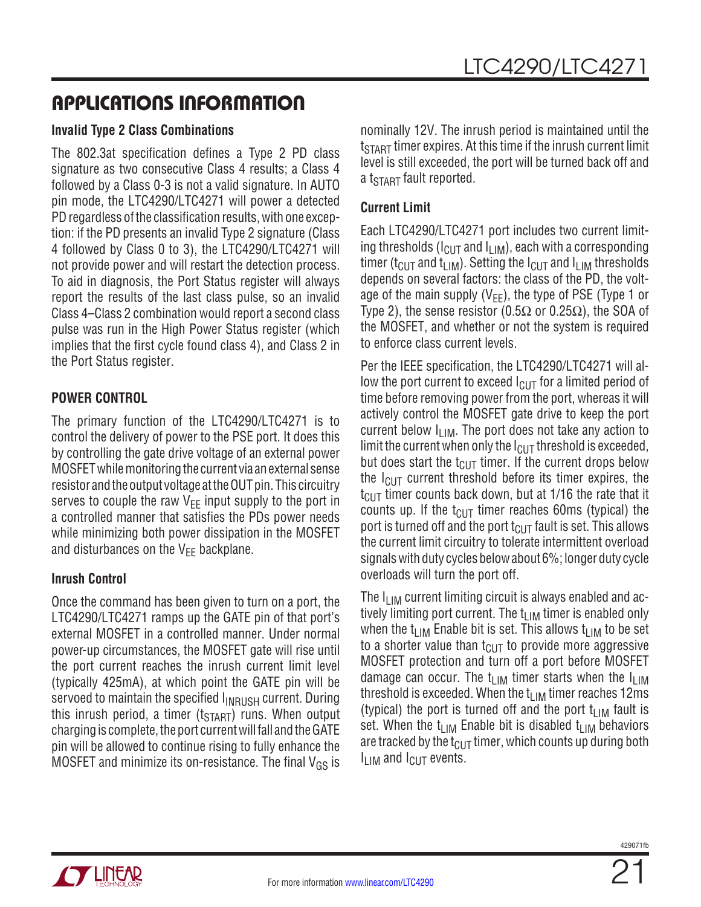#### **Invalid Type 2 Class Combinations**

The 802.3at specification defines a Type 2 PD class signature as two consecutive Class 4 results; a Class 4 followed by a Class 0-3 is not a valid signature. In AUTO pin mode, the LTC4290/LTC4271 will power a detected PD regardless of the classification results, with one exception: if the PD presents an invalid Type 2 signature (Class 4 followed by Class 0 to 3), the LTC4290/LTC4271 will not provide power and will restart the detection process. To aid in diagnosis, the Port Status register will always report the results of the last class pulse, so an invalid Class 4–Class 2 combination would report a second class pulse was run in the High Power Status register (which implies that the first cycle found class 4), and Class 2 in the Port Status register.

#### **POWER CONTROL**

The primary function of the LTC4290/LTC4271 is to control the delivery of power to the PSE port. It does this by controlling the gate drive voltage of an external power MOSFET while monitoring the current via an external sense resistor and the output voltage at the OUT pin. This circuitry serves to couple the raw  $V_{FF}$  input supply to the port in a controlled manner that satisfies the PDs power needs while minimizing both power dissipation in the MOSFET and disturbances on the  $V_{FF}$  backplane.

#### **Inrush Control**

Once the command has been given to turn on a port, the LTC4290/LTC4271 ramps up the GATE pin of that port's external MOSFET in a controlled manner. Under normal power-up circumstances, the MOSFET gate will rise until the port current reaches the inrush current limit level (typically 425mA), at which point the GATE pin will be servoed to maintain the specified I<sub>INRUSH</sub> current. During this inrush period, a timer  $(t_{\text{START}})$  runs. When output charging is complete, the port current will fall and the GATE pin will be allowed to continue rising to fully enhance the MOSFET and minimize its on-resistance. The final  $V_{GS}$  is

nominally 12V. The inrush period is maintained until the  $t_{\text{START}}$  timer expires. At this time if the inrush current limit level is still exceeded, the port will be turned back off and a t $_{\rm START}$  fault reported.

#### **Current Limit**

Each LTC4290/LTC4271 port includes two current limiting thresholds ( $I_{\text{Cl}}$ <sub>LIT</sub> and  $I_{\text{LIM}}$ ), each with a corresponding timer (t<sub>CUT</sub> and t<sub>LIM</sub>). Setting the  $I_{\text{CUT}}$  and  $I_{\text{LIM}}$  thresholds depends on several factors: the class of the PD, the voltage of the main supply ( $V_{FF}$ ), the type of PSE (Type 1 or Type 2), the sense resistor (0.5 $\Omega$  or 0.25 $\Omega$ ), the SOA of the MOSFET, and whether or not the system is required to enforce class current levels.

Per the IEEE specification, the LTC4290/LTC4271 will allow the port current to exceed  $I_{\text{ClIT}}$  for a limited period of time before removing power from the port, whereas it will actively control the MOSFET gate drive to keep the port current below  $I_{LIM}$ . The port does not take any action to limit the current when only the  $I_{\text{ClT}}$  threshold is exceeded, but does start the  $t_{\text{Cl}}$  timer. If the current drops below the  $I_{\text{Cl}}$  current threshold before its timer expires, the  $t_{\text{Cl}}$  timer counts back down, but at 1/16 the rate that it counts up. If the  $t_{ClIT}$  timer reaches 60ms (typical) the port is turned off and the port  $t_{\text{CUT}}$  fault is set. This allows the current limit circuitry to tolerate intermittent overload signals with duty cycles below about 6%; longer duty cycle overloads will turn the port off.

The  $I_{LIM}$  current limiting circuit is always enabled and actively limiting port current. The  $t_{\text{LM}}$  timer is enabled only when the  $t_{LIM}$  Enable bit is set. This allows  $t_{LIM}$  to be set to a shorter value than  $t_{CUT}$  to provide more aggressive MOSFET protection and turn off a port before MOSFET damage can occur. The  $t_{LIM}$  timer starts when the  $I_{LIM}$ threshold is exceeded. When the  $t_{\text{LM}}$  timer reaches 12ms (typical) the port is turned off and the port  $t_{\text{LIM}}$  fault is set. When the t<sub>LIM</sub> Enable bit is disabled t<sub>LIM</sub> behaviors are tracked by the  $t_{\text{Cl}}$  timer, which counts up during both  $I<sub>I</sub>$  IM and  $I<sub>C</sub>$ <sub>IT</sub> events.

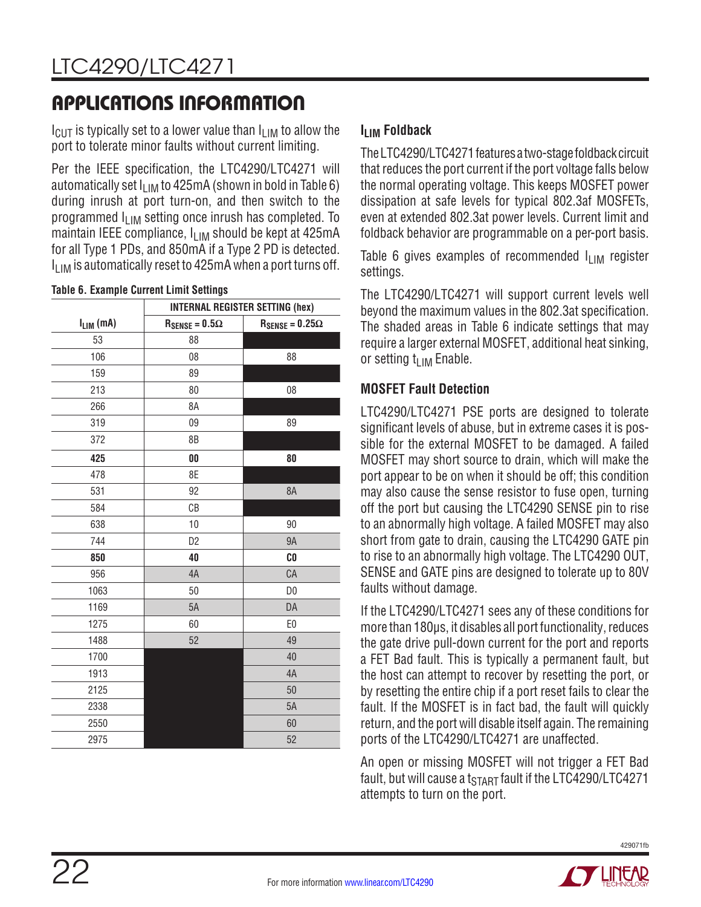$I_{\text{Cl}}$  is typically set to a lower value than  $I_{\text{LIM}}$  to allow the port to tolerate minor faults without current limiting.

Per the IEEE specification, the LTC4290/LTC4271 will automatically set  $I_{\text{LIM}}$  to 425mA (shown in bold in Table 6) during inrush at port turn-on, and then switch to the programmed I<sub>LIM</sub> setting once inrush has completed. To maintain IEEE compliance,  $I_{LIM}$  should be kept at 425mA for all Type 1 PDs, and 850mA if a Type 2 PD is detected. I<sub>LIM</sub> is automatically reset to 425mA when a port turns off.

|                |                                | <b>INTERNAL REGISTER SETTING (hex)</b> |
|----------------|--------------------------------|----------------------------------------|
| $I_{LIM}$ (mA) | $R_{\text{SENSE}} = 0.5\Omega$ | $R_{\text{SENSE}} = 0.25 \Omega$       |
| 53             | 88                             |                                        |
| 106            | 08                             | 88                                     |
| 159            | 89                             |                                        |
| 213            | 80                             | 08                                     |
| 266            | 8A                             |                                        |
| 319            | 09                             | 89                                     |
| 372            | 8B                             |                                        |
| 425            | $\bf{00}$                      | 80                                     |
| 478            | 8E                             |                                        |
| 531            | 92                             | 8A                                     |
| 584            | CB                             |                                        |
| 638            | 10                             | 90                                     |
| 744            | D <sub>2</sub>                 | <b>9A</b>                              |
| 850            | 40                             | C <sub>0</sub>                         |
| 956            | 4A                             | CA                                     |
| 1063           | 50                             | D <sub>0</sub>                         |
| 1169           | 5A                             | DA                                     |
| 1275           | 60                             | E <sub>0</sub>                         |
| 1488           | 52                             | 49                                     |
| 1700           |                                | 40                                     |
| 1913           |                                | 4A                                     |
| 2125           |                                | 50                                     |
| 2338           |                                | 5A                                     |
| 2550           |                                | 60                                     |
| 2975           |                                | 52                                     |

#### **Table 6. Example Current Limit Settings**

#### **I<sub>LIM</sub>** Foldback

The LTC4290/LTC4271 features a two-stage foldback circuit that reduces the port current if the port voltage falls below the normal operating voltage. This keeps MOSFET power dissipation at safe levels for typical 802.3af MOSFETs, even at extended 802.3at power levels. Current limit and foldback behavior are programmable on a per-port basis.

Table 6 gives examples of recommended  $I_{LIM}$  register settings.

The LTC4290/LTC4271 will support current levels well beyond the maximum values in the 802.3at specification. The shaded areas in Table 6 indicate settings that may require a larger external MOSFET, additional heat sinking, or setting t<sub>LIM</sub> Enable.

#### **MOSFET Fault Detection**

LTC4290/LTC4271 PSE ports are designed to tolerate significant levels of abuse, but in extreme cases it is possible for the external MOSFET to be damaged. A failed MOSFET may short source to drain, which will make the port appear to be on when it should be off; this condition may also cause the sense resistor to fuse open, turning off the port but causing the LTC4290 SENSE pin to rise to an abnormally high voltage. A failed MOSFET may also short from gate to drain, causing the LTC4290 GATE pin to rise to an abnormally high voltage. The LTC4290 OUT, SENSE and GATE pins are designed to tolerate up to 80V faults without damage.

If the LTC4290/LTC4271 sees any of these conditions for more than 180μs, it disables all port functionality, reduces the gate drive pull-down current for the port and reports a FET Bad fault. This is typically a permanent fault, but the host can attempt to recover by resetting the port, or by resetting the entire chip if a port reset fails to clear the fault. If the MOSFET is in fact bad, the fault will quickly return, and the port will disable itself again. The remaining ports of the LTC4290/LTC4271 are unaffected.

An open or missing MOSFET will not trigger a FET Bad fault, but will cause a  $t<sub>START</sub>$  fault if the LTC4290/LTC4271 attempts to turn on the port.



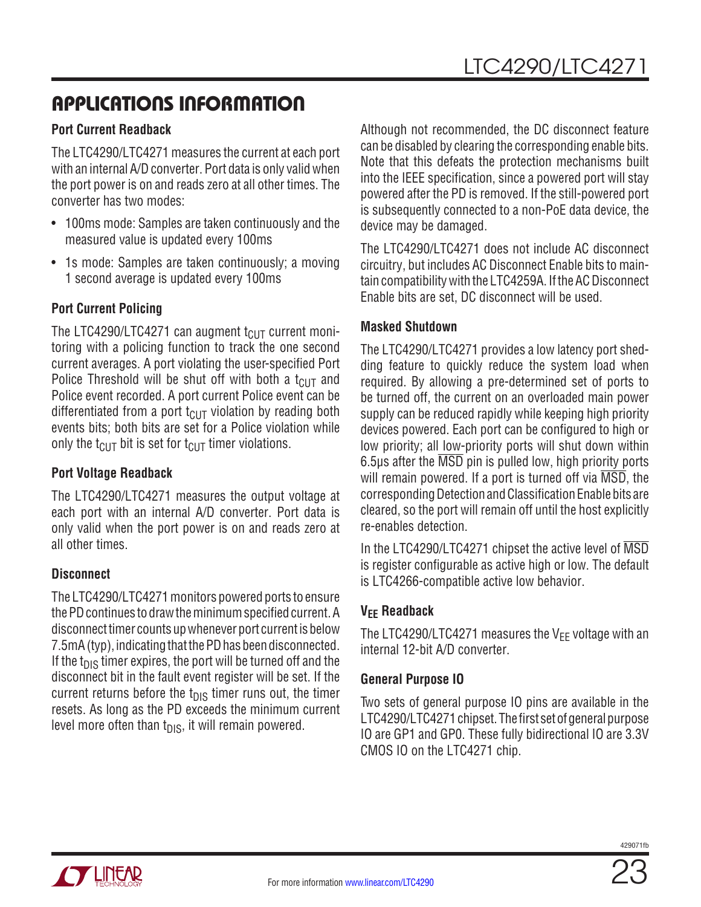#### **Port Current Readback**

The LTC4290/LTC4271 measures the current at each port with an internal A/D converter. Port data is only valid when the port power is on and reads zero at all other times. The converter has two modes:

- 100ms mode: Samples are taken continuously and the measured value is updated every 100ms
- 1s mode: Samples are taken continuously; a moving 1 second average is updated every 100ms

#### **Port Current Policing**

The LTC4290/LTC4271 can augment  $t_{CUT}$  current monitoring with a policing function to track the one second current averages. A port violating the user-specified Port Police Threshold will be shut off with both a  $t_{CUT}$  and Police event recorded. A port current Police event can be differentiated from a port  $t_{\text{ClT}}$  violation by reading both events bits; both bits are set for a Police violation while only the  $t_{CUT}$  bit is set for  $t_{CUT}$  timer violations.

#### **Port Voltage Readback**

The LTC4290/LTC4271 measures the output voltage at each port with an internal A/D converter. Port data is only valid when the port power is on and reads zero at all other times.

#### **Disconnect**

The LTC4290/LTC4271 monitors powered ports to ensure the PD continues to draw the minimum specified current. A disconnect timer counts up whenever port current is below 7.5mA (typ), indicating that the PD has been disconnected. If the  $t_{DIS}$  timer expires, the port will be turned off and the disconnect bit in the fault event register will be set. If the current returns before the  $t_{DIS}$  timer runs out, the timer resets. As long as the PD exceeds the minimum current level more often than  $t_{DIS}$ , it will remain powered.

Although not recommended, the DC disconnect feature can be disabled by clearing the corresponding enable bits. Note that this defeats the protection mechanisms built into the IEEE specification, since a powered port will stay powered after the PD is removed. If the still-powered port is subsequently connected to a non-PoE data device, the device may be damaged.

The LTC4290/LTC4271 does not include AC disconnect circuitry, but includes AC Disconnect Enable bits to maintain compatibility with the LTC4259A. If the AC Disconnect Enable bits are set, DC disconnect will be used.

#### **Masked Shutdown**

The LTC4290/LTC4271 provides a low latency port shedding feature to quickly reduce the system load when required. By allowing a pre-determined set of ports to be turned off, the current on an overloaded main power supply can be reduced rapidly while keeping high priority devices powered. Each port can be configured to high or low priority; all low-priority ports will shut down within 6.5μs after the MSD pin is pulled low, high priority ports will remain powered. If a port is turned off via  $\overline{\text{MSD}}$ , the corresponding Detection and Classification Enable bits are cleared, so the port will remain off until the host explicitly re-enables detection.

In the LTC4290/LTC4271 chipset the active level of  $\overline{\text{MSD}}$ is register configurable as active high or low. The default is LTC4266-compatible active low behavior.

#### **VEE Readback**

The LTC4290/LTC4271 measures the  $V_{EE}$  voltage with an internal 12-bit A/D converter.

#### **General Purpose IO**

Two sets of general purpose IO pins are available in the LTC4290/LTC4271 chipset. The first set of general purpose IO are GP1 and GP0. These fully bidirectional IO are 3.3V CMOS IO on the LTC4271 chip.



23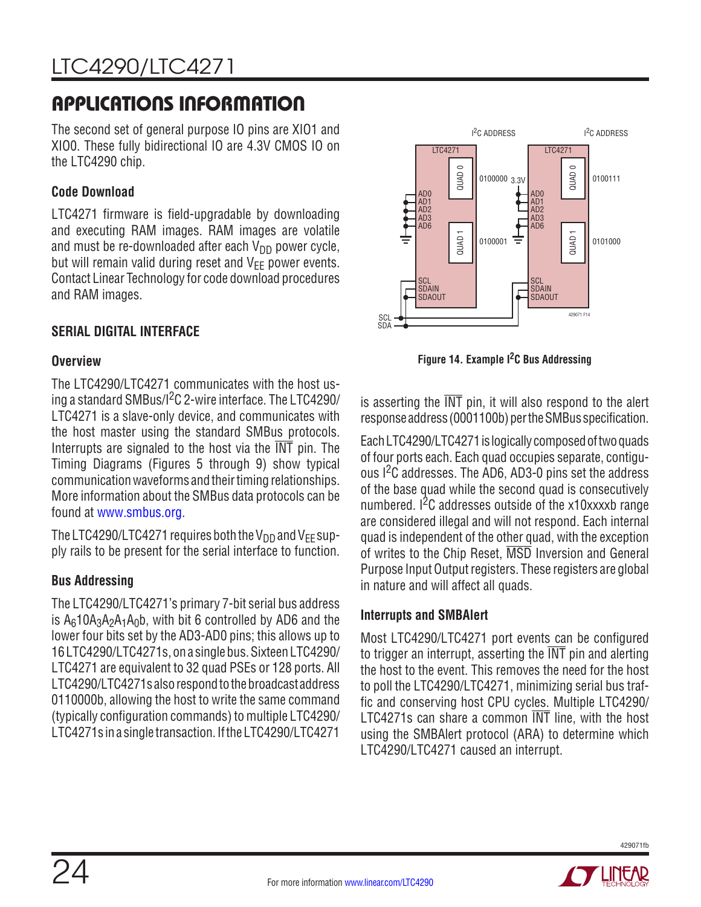The second set of general purpose IO pins are XIO1 and XIO0. These fully bidirectional IO are 4.3V CMOS IO on the LTC4290 chip.

#### **Code Download**

LTC4271 firmware is field-upgradable by downloading and executing RAM images. RAM images are volatile and must be re-downloaded after each  $V_{DD}$  power cycle, but will remain valid during reset and  $V_{EE}$  power events. Contact Linear Technology for code download procedures and RAM images.

#### **SERIAL DIGITAL INTERFACE**

#### **Overview**

The LTC4290/LTC4271 communicates with the host using a standard SMBus/I 2C 2-wire interface. The LTC4290/ LTC4271 is a slave-only device, and communicates with the host master using the standard SMBus protocols. Interrupts are signaled to the host via the  $\overline{\text{INT}}$  pin. The Timing Diagrams (Figures 5 through 9) show typical communication waveforms and their timing relationships. More information about the SMBus data protocols can be found at [www.smbus.org](http://www.smbus.org).

The LTC4290/LTC4271 requires both the  $V_{DD}$  and  $V_{EE}$  supply rails to be present for the serial interface to function.

#### **Bus Addressing**

The LTC4290/LTC4271's primary 7-bit serial bus address is  $A<sub>6</sub>10A<sub>3</sub>A<sub>2</sub>A<sub>1</sub>A<sub>0</sub>b$ , with bit 6 controlled by AD6 and the lower four bits set by the AD3-AD0 pins; this allows up to 16LTC4290/LTC4271s, on a single bus. Sixteen LTC4290/ LTC4271 are equivalent to 32 quad PSEs or 128 ports. All LTC4290/LTC4271s also respond to the broadcast address 0110000b, allowing the host to write the same command (typically configuration commands) to multiple LTC4290/ LTC4271s in a single transaction. If the LTC4290/LTC4271



**Figure 14. Example I 2C Bus Addressing**

is asserting the  $\overline{\text{INT}}$  pin, it will also respond to the alert response address (0001100b) per the SMBus specification.

Each LTC4290/LTC4271 is logically composed of two quads of four ports each. Each quad occupies separate, contiguous I2C addresses. The AD6, AD3-0 pins set the address of the base quad while the second quad is consecutively numbered.  $I^2C$  addresses outside of the x10xxxxb range are considered illegal and will not respond. Each internal quad is independent of the other quad, with the exception of writes to the Chip Reset, MSD Inversion and General Purpose Input Output registers. These registers are global in nature and will affect all quads.

#### **Interrupts and SMBAlert**

Most LTC4290/LTC4271 port events can be configured to trigger an interrupt, asserting the  $\overline{\text{INT}}$  pin and alerting the host to the event. This removes the need for the host to poll the LTC4290/LTC4271, minimizing serial bus traffic and conserving host CPU cycles. Multiple LTC4290/ LTC4271s can share a common INT line, with the host using the SMBAlert protocol (ARA) to determine which

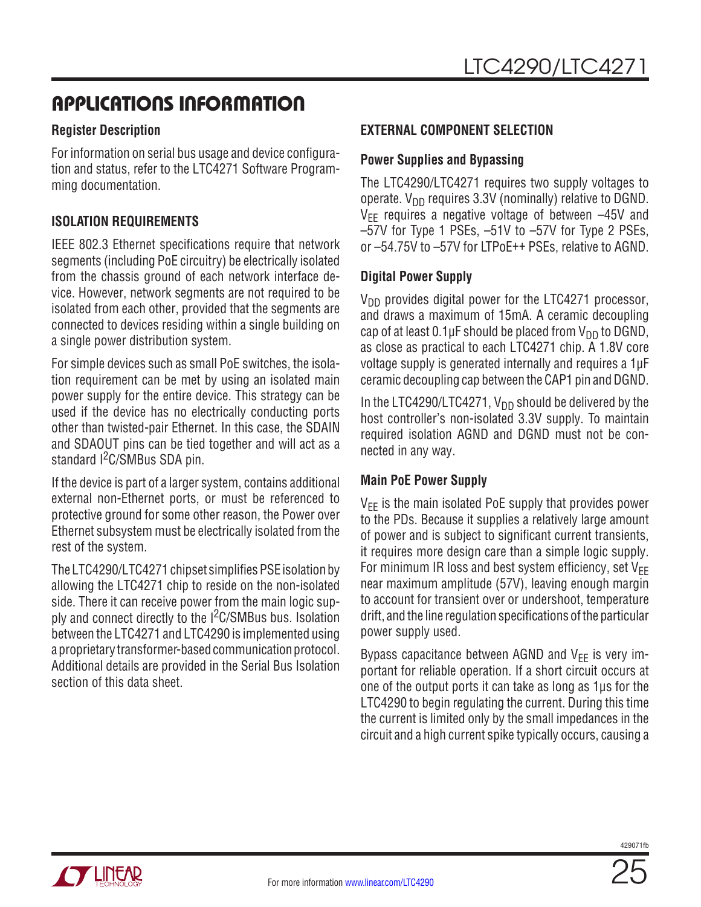#### **Register Description**

For information on serial bus usage and device configuration and status, refer to the LTC4271 Software Programming documentation.

#### **ISOLATION REQUIREMENTS**

IEEE 802.3 Ethernet specifications require that network segments (including PoE circuitry) be electrically isolated from the chassis ground of each network interface device. However, network segments are not required to be isolated from each other, provided that the segments are connected to devices residing within a single building on a single power distribution system.

For simple devices such as small PoE switches, the isolation requirement can be met by using an isolated main power supply for the entire device. This strategy can be used if the device has no electrically conducting ports other than twisted-pair Ethernet. In this case, the SDAIN and SDAOUT pins can be tied together and will act as a standard I<sup>2</sup>C/SMBus SDA pin.

If the device is part of a larger system, contains additional external non-Ethernet ports, or must be referenced to protective ground for some other reason, the Power over Ethernet subsystem must be electrically isolated from the rest of the system.

The LTC4290/LTC4271 chipset simplifies PSE isolation by allowing the LTC4271 chip to reside on the non-isolated side. There it can receive power from the main logic supply and connect directly to the I<sup>2</sup>C/SMBus bus. Isolation between the LTC4271 and LTC4290 is implemented using a proprietary transformer-based communication protocol. Additional details are provided in the Serial Bus Isolation section of this data sheet.

#### **EXTERNAL COMPONENT SELECTION**

#### **Power Supplies and Bypassing**

The LTC4290/LTC4271 requires two supply voltages to operate.  $V_{DD}$  requires 3.3V (nominally) relative to DGND.  $V_{FF}$  requires a negative voltage of between  $-45V$  and –57V for Type 1 PSEs, –51V to –57V for Type 2 PSEs, or –54.75V to –57V for LTPoE++ PSEs, relative to AGND.

#### **Digital Power Supply**

 $V<sub>DD</sub>$  provides digital power for the LTC4271 processor, and draws a maximum of 15mA. A ceramic decoupling cap of at least  $0.1 \mu$ F should be placed from  $V_{DD}$  to DGND, as close as practical to each LTC4271 chip. A 1.8V core voltage supply is generated internally and requires a 1µF ceramic decoupling cap between the CAP1 pin and DGND.

In the LTC4290/LTC4271,  $V_{DD}$  should be delivered by the host controller's non-isolated 3.3V supply. To maintain required isolation AGND and DGND must not be connected in any way.

#### **Main PoE Power Supply**

 $V_{FF}$  is the main isolated PoE supply that provides power to the PDs. Because it supplies a relatively large amount of power and is subject to significant current transients, it requires more design care than a simple logic supply. For minimum IR loss and best system efficiency, set  $V_{FF}$ near maximum amplitude (57V), leaving enough margin to account for transient over or undershoot, temperature drift, and the line regulation specifications of the particular power supply used.

Bypass capacitance between AGND and  $V_{FF}$  is very important for reliable operation. If a short circuit occurs at one of the output ports it can take as long as 1μs for the LTC4290 to begin regulating the current. During this time the current is limited only by the small impedances in the circuit and a high current spike typically occurs, causing a

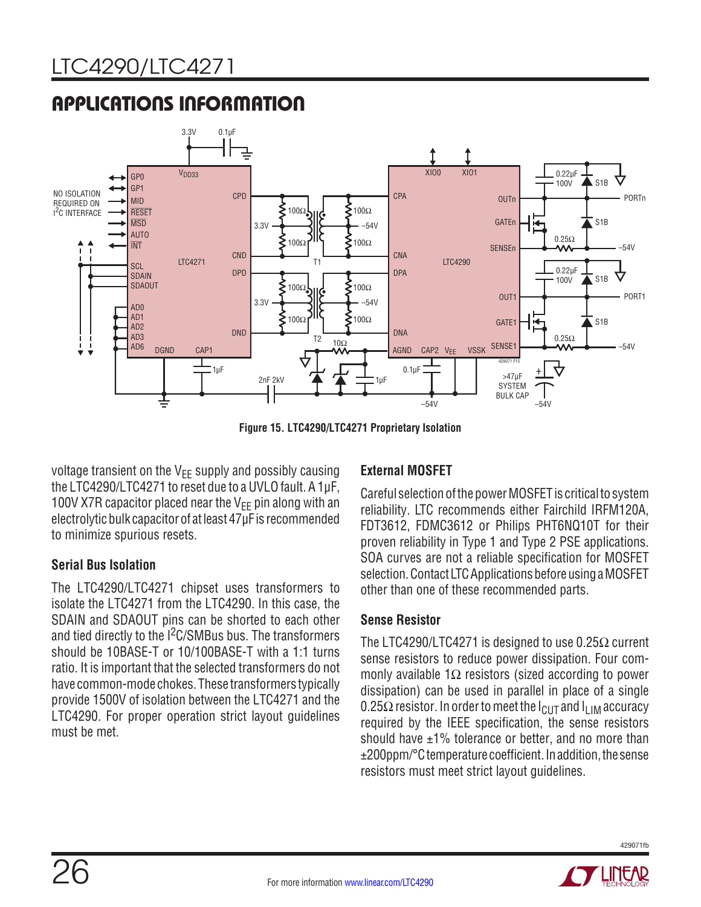

**Figure 15. LTC4290/LTC4271 Proprietary Isolation**

voltage transient on the  $V_{EE}$  supply and possibly causing the LTC4290/LTC4271 to reset due to a UVLO fault. A 1μF, 100V X7R capacitor placed near the  $V_{FF}$  pin along with an electrolytic bulk capacitor of at least 47µF is recommended to minimize spurious resets.

#### **Serial Bus Isolation**

The LTC4290/LTC4271 chipset uses transformers to isolate the LTC4271 from the LTC4290. In this case, the SDAIN and SDAOUT pins can be shorted to each other and tied directly to the I<sup>2</sup>C/SMBus bus. The transformers should be 10BASE-T or 10/100BASE-T with a 1:1 turns ratio. It is important that the selected transformers do not have common-mode chokes. These transformers typically provide 1500V of isolation between the LTC4271 and the LTC4290. For proper operation strict layout guidelines must be met.

#### **External MOSFET**

Careful selection of the power MOSFET is critical to system reliability. LTC recommends either Fairchild IRFM120A, FDT3612, FDMC3612 or Philips PHT6NQ10T for their proven reliability in Type 1 and Type 2 PSE applications. SOA curves are not a reliable specification for MOSFET selection. Contact LTC Applications before using a MOSFET other than one of these recommended parts.

#### **Sense Resistor**

The LTC4290/LTC4271 is designed to use  $0.25\Omega$  current sense resistors to reduce power dissipation. Four commonly available 1 $\Omega$  resistors (sized according to power dissipation) can be used in parallel in place of a single 0.25 $\Omega$  resistor. In order to meet the  $I_{\text{ClUT}}$  and  $I_{\text{LIM}}$  accuracy required by the IEEE specification, the sense resistors should have  $\pm 1\%$  tolerance or better, and no more than ±200ppm/°C temperature coefficient. In addition, the sense resistors must meet strict layout guidelines.

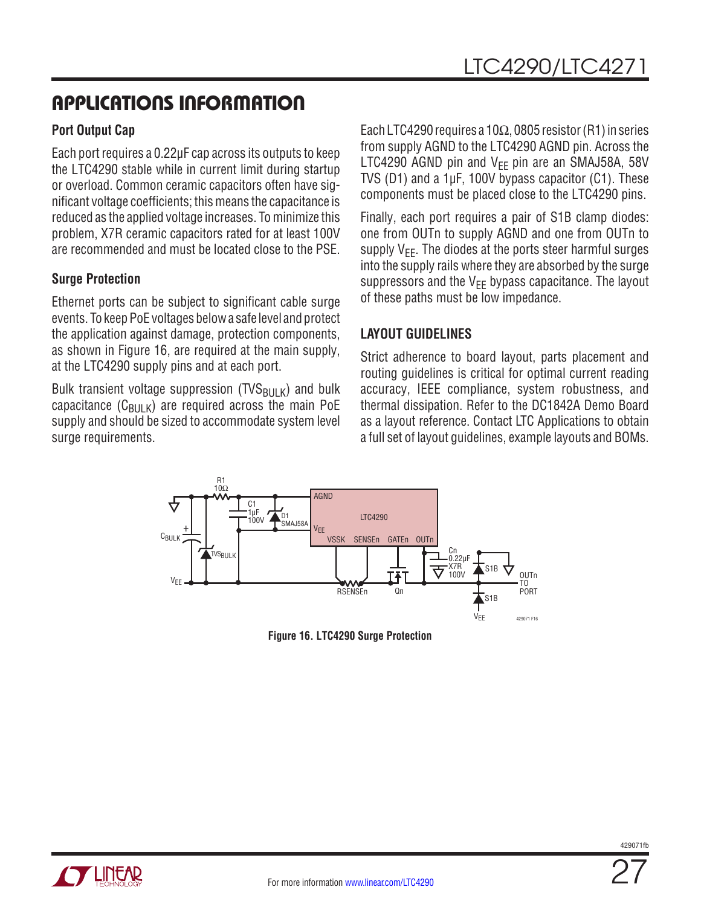#### **Port Output Cap**

Each port requires a 0.22μF cap across its outputs to keep the LTC4290 stable while in current limit during startup or overload. Common ceramic capacitors often have significant voltage coefficients; this means the capacitance is reduced as the applied voltage increases. To minimize this problem, X7R ceramic capacitors rated for at least 100V are recommended and must be located close to the PSE.

#### **Surge Protection**

Ethernet ports can be subject to significant cable surge events. To keep PoE voltages below a safe level and protect the application against damage, protection components, as shown in Figure 16, are required at the main supply, at the LTC4290 supply pins and at each port.

Bulk transient voltage suppression (TVS $_{\text{BULK}}$ ) and bulk capacitance  $(C_{\text{BULK}})$  are required across the main PoE supply and should be sized to accommodate system level surge requirements.

Each LTC4290 requires a 10 $\Omega$ , 0805 resistor (R1) in series from supply AGND to the LTC4290 AGND pin. Across the LTC4290 AGND pin and  $V_{FF}$  pin are an SMAJ58A, 58V TVS (D1) and a 1µF, 100V bypass capacitor (C1). These components must be placed close to the LTC4290 pins.

Finally, each port requires a pair of S1B clamp diodes: one from OUTn to supply AGND and one from OUTn to supply  $V_{FF}$ . The diodes at the ports steer harmful surges into the supply rails where they are absorbed by the surge suppressors and the  $V_{EE}$  bypass capacitance. The layout of these paths must be low impedance.

#### **LAYOUT GUIDELINES**

Strict adherence to board layout, parts placement and routing guidelines is critical for optimal current reading accuracy, IEEE compliance, system robustness, and thermal dissipation. Refer to the DC1842A Demo Board as a layout reference. Contact LTC Applications to obtain a full set of layout guidelines, example layouts and BOMs.



**Figure 16. LTC4290 Surge Protection**

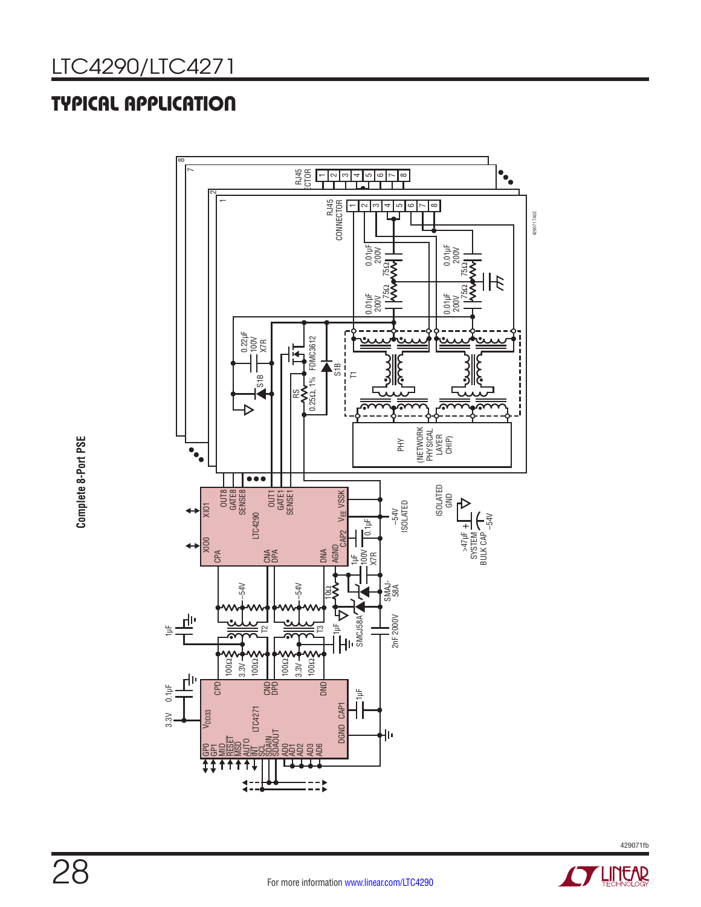### TYPICAL APPLICATION



Complete 8-Port PSE **Complete 8-Port PSE**

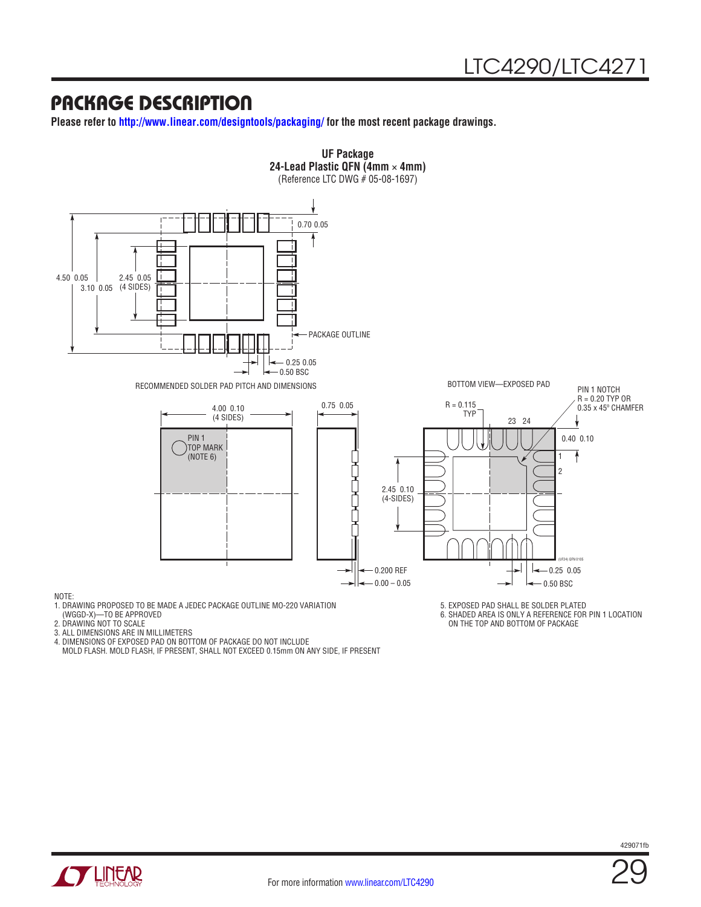### PACKAGE DESCRIPTION

**Please refer to <http://www.linear.com/designtools/packaging/> for the most recent package drawings.**



(WGGD-X)—TO BE APPROVED

2. DRAWING NOT TO SCALE

3. ALL DIMENSIONS ARE IN MILLIMETERS

4. DIMENSIONS OF EXPOSED PAD ON BOTTOM OF PACKAGE DO NOT INCLUDE

MOLD FLASH. MOLD FLASH, IF PRESENT, SHALL NOT EXCEED 0.15mm ON ANY SIDE, IF PRESENT

6. SHADED AREA IS ONLY A REFERENCE FOR PIN 1 LOCATION ON THE TOP AND BOTTOM OF PACKAGE

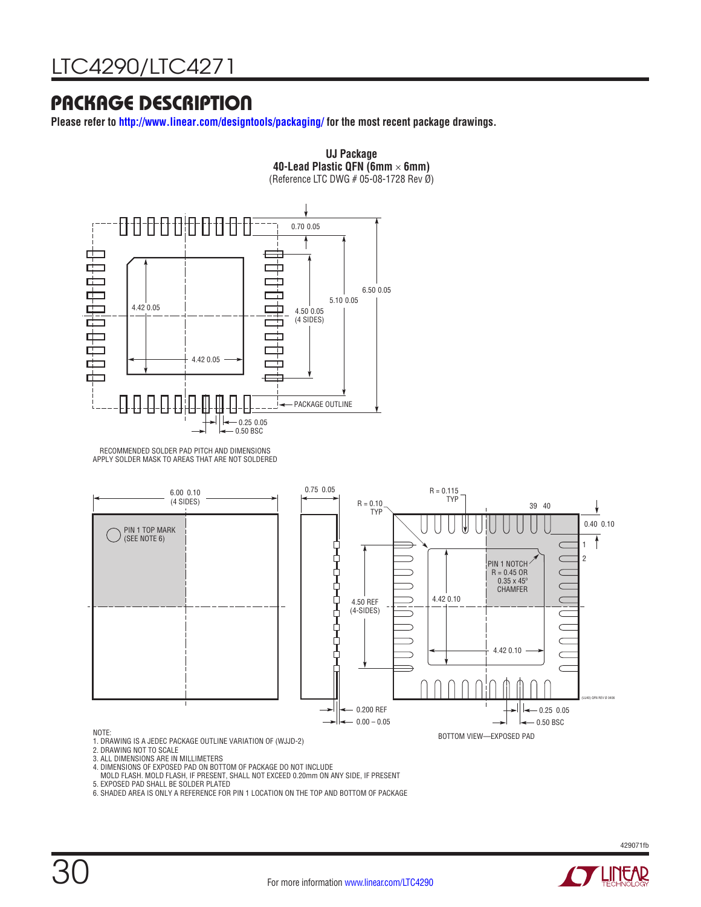### PACKAGE DESCRIPTION

**Please refer to <http://www.linear.com/designtools/packaging/> for the most recent package drawings.**

**UJ Package 40-Lead Plastic QFN (6mm** × **6mm)**



RECOMMENDED SOLDER PAD PITCH AND DIMENSIONS APPLY SOLDER MASK TO AREAS THAT ARE NOT SOLDERED



NOTE:

1. DRAWING IS A JEDEC PACKAGE OUTLINE VARIATION OF (WJJD-2)

2. DRAWING NOT TO SCALE

3. ALL DIMENSIONS ARE IN MILLIMETERS

4. DIMENSIONS OF EXPOSED PAD ON BOTTOM OF PACKAGE DO NOT INCLUDE

MOLD FLASH. MOLD FLASH, IF PRESENT, SHALL NOT EXCEED 0.20mm ON ANY SIDE, IF PRESENT

5. EXPOSED PAD SHALL BE SOLDER PLATED 6. SHADED AREA IS ONLY A REFERENCE FOR PIN 1 LOCATION ON THE TOP AND BOTTOM OF PACKAGE

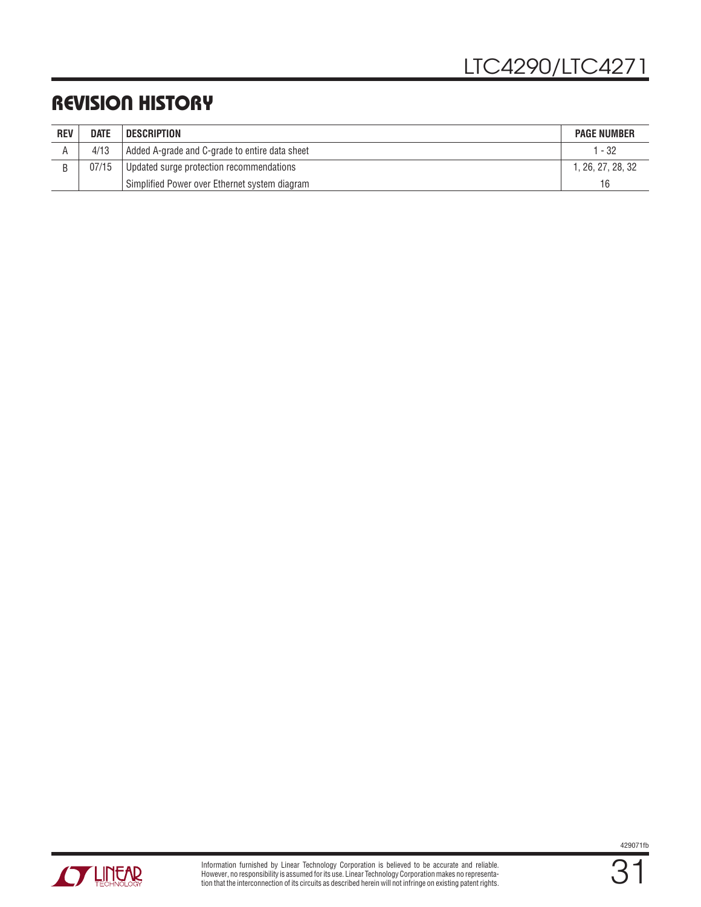### REVISION HISTORY

| <b>REV</b> | <b>DATE</b> | <b>DESCRIPTION</b>                             | <b>PAGE NUMBER</b> |
|------------|-------------|------------------------------------------------|--------------------|
|            | 4/13        | Added A-grade and C-grade to entire data sheet | l - 32             |
|            | 07/15       | Updated surge protection recommendations       | 1, 26, 27, 28, 32  |
|            |             | Simplified Power over Ethernet system diagram  | 16                 |